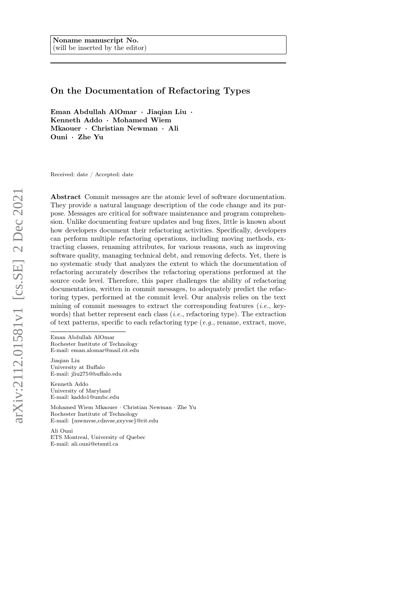# On the Documentation of Refactoring Types

Eman Abdullah AlOmar · Jiaqian Liu · Kenneth Addo · Mohamed Wiem Mkaouer · Christian Newman · Ali Ouni · Zhe Yu

Received: date / Accepted: date

Abstract Commit messages are the atomic level of software documentation. They provide a natural language description of the code change and its purpose. Messages are critical for software maintenance and program comprehension. Unlike documenting feature updates and bug fixes, little is known about how developers document their refactoring activities. Specifically, developers can perform multiple refactoring operations, including moving methods, extracting classes, renaming attributes, for various reasons, such as improving software quality, managing technical debt, and removing defects. Yet, there is no systematic study that analyzes the extent to which the documentation of refactoring accurately describes the refactoring operations performed at the source code level. Therefore, this paper challenges the ability of refactoring documentation, written in commit messages, to adequately predict the refactoring types, performed at the commit level. Our analysis relies on the text mining of commit messages to extract the corresponding features  $(i.e., key$ words) that better represent each class  $(i.e.,$  refactoring type). The extraction of text patterns, specific to each refactoring type  $(e.g.,$  rename, extract, move,

Eman Abdullah AlOmar Rochester Institute of Technology E-mail: eman.alomar@mail.rit.edu

Jiaqian Liu University at Buffalo E-mail: jliu275@buffalo.edu

Kenneth Addo University of Maryland E-mail: kaddo1@umbc.edu

Mohamed Wiem Mkaouer · Christian Newman · Zhe Yu Rochester Institute of Technology E-mail: {mwmvse,cdnvse,zxyvse}@rit.edu

Ali Ouni ETS Montreal, University of Quebec E-mail: ali.ouni@etsmtl.ca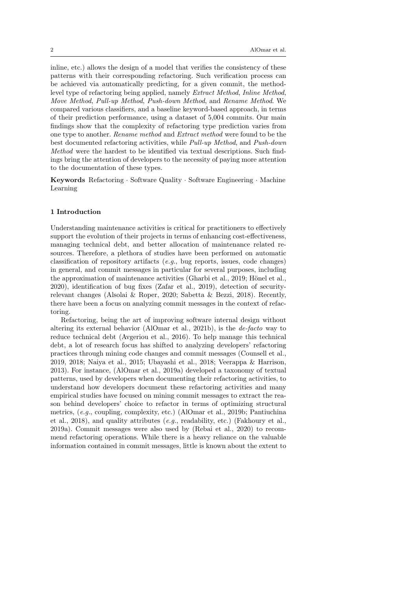inline, etc.) allows the design of a model that verifies the consistency of these patterns with their corresponding refactoring. Such verification process can be achieved via automatically predicting, for a given commit, the methodlevel type of refactoring being applied, namely Extract Method, Inline Method, Move Method, Pull-up Method, Push-down Method, and Rename Method. We compared various classifiers, and a baseline keyword-based approach, in terms of their prediction performance, using a dataset of 5,004 commits. Our main findings show that the complexity of refactoring type prediction varies from one type to another. Rename method and Extract method were found to be the best documented refactoring activities, while Pull-up Method, and Push-down Method were the hardest to be identified via textual descriptions. Such findings bring the attention of developers to the necessity of paying more attention to the documentation of these types.

Keywords Refactoring · Software Quality · Software Engineering · Machine Learning

#### 1 Introduction

Understanding maintenance activities is critical for practitioners to effectively support the evolution of their projects in terms of enhancing cost-effectiveness, managing technical debt, and better allocation of maintenance related resources. Therefore, a plethora of studies have been performed on automatic classification of repository artifacts  $(e.g., bug$  reports, issues, code changes) in general, and commit messages in particular for several purposes, including the approximation of maintenance activities [\(Gharbi et al., 2019;](#page-33-0) [Hönel et al.,](#page-33-1) [2020\)](#page-33-1), identification of bug fixes [\(Zafar et al., 2019\)](#page-36-0), detection of securityrelevant changes [\(Alsolai & Roper, 2020;](#page-32-0) [Sabetta & Bezzi, 2018\)](#page-35-0). Recently, there have been a focus on analyzing commit messages in the context of refactoring.

Refactoring, being the art of improving software internal design without altering its external behavior [\(AlOmar et al., 2021b\)](#page-31-0), is the de-facto way to reduce technical debt [\(Avgeriou et al., 2016\)](#page-32-1). To help manage this technical debt, a lot of research focus has shifted to analyzing developers' refactoring practices through mining code changes and commit messages [\(Counsell et al.,](#page-32-2) [2019,](#page-32-2) [2018;](#page-33-2) [Naiya et al., 2015;](#page-34-0) [Ubayashi et al., 2018;](#page-36-1) [Veerappa & Harrison,](#page-36-2) [2013\)](#page-36-2). For instance, [\(AlOmar et al., 2019a\)](#page-31-1) developed a taxonomy of textual patterns, used by developers when documenting their refactoring activities, to understand how developers document these refactoring activities and many empirical studies have focused on mining commit messages to extract the reason behind developers' choice to refactor in terms of optimizing structural metrics, (e.g., coupling, complexity, etc.) [\(AlOmar et al., 2019b;](#page-32-3) [Pantiuchina](#page-35-1) [et al., 2018\)](#page-35-1), and quality attributes (e.g., readability, etc.) [\(Fakhoury et al.,](#page-33-3) [2019a\)](#page-33-3). Commit messages were also used by [\(Rebai et al., 2020\)](#page-35-2) to recommend refactoring operations. While there is a heavy reliance on the valuable information contained in commit messages, little is known about the extent to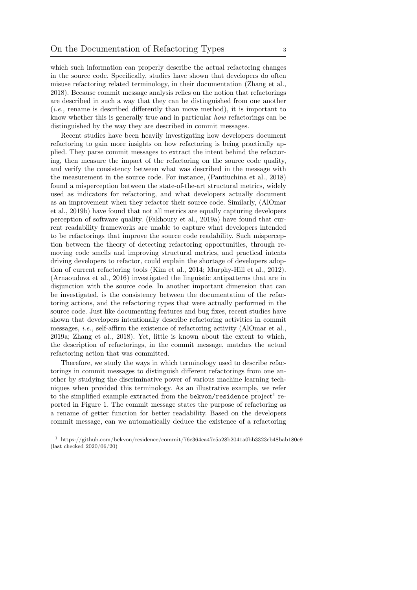which such information can properly describe the actual refactoring changes in the source code. Specifically, studies have shown that developers do often misuse refactoring related terminology, in their documentation [\(Zhang et al.,](#page-36-3) [2018\)](#page-36-3). Because commit message analysis relies on the notion that refactorings are described in such a way that they can be distinguished from one another (i.e., rename is described differently than move method), it is important to know whether this is generally true and in particular how refactorings can be distinguished by the way they are described in commit messages.

Recent studies have been heavily investigating how developers document refactoring to gain more insights on how refactoring is being practically applied. They parse commit messages to extract the intent behind the refactoring, then measure the impact of the refactoring on the source code quality, and verify the consistency between what was described in the message with the measurement in the source code. For instance, [\(Pantiuchina et al., 2018\)](#page-35-1) found a misperception between the state-of-the-art structural metrics, widely used as indicators for refactoring, and what developers actually document as an improvement when they refactor their source code. Similarly, [\(AlOmar](#page-32-3) [et al., 2019b\)](#page-32-3) have found that not all metrics are equally capturing developers perception of software quality. [\(Fakhoury et al., 2019a\)](#page-33-3) have found that current readability frameworks are unable to capture what developers intended to be refactorings that improve the source code readability. Such misperception between the theory of detecting refactoring opportunities, through removing code smells and improving structural metrics, and practical intents driving developers to refactor, could explain the shortage of developers adoption of current refactoring tools [\(Kim et al., 2014;](#page-33-4) [Murphy-Hill et al., 2012\)](#page-34-1). [\(Arnaoudova et al., 2016\)](#page-32-4) investigated the linguistic antipatterns that are in disjunction with the source code. In another important dimension that can be investigated, is the consistency between the documentation of the refactoring actions, and the refactoring types that were actually performed in the source code. Just like documenting features and bug fixes, recent studies have shown that developers intentionally describe refactoring activities in commit messages, i.e., self-affirm the existence of refactoring activity [\(AlOmar et al.,](#page-31-1) [2019a;](#page-31-1) [Zhang et al., 2018\)](#page-36-3). Yet, little is known about the extent to which, the description of refactorings, in the commit message, matches the actual refactoring action that was committed.

Therefore, we study the ways in which terminology used to describe refactorings in commit messages to distinguish different refactorings from one another by studying the discriminative power of various machine learning techniques when provided this terminology. As an illustrative example, we refer to the simplified example extracted from the bekvon/residence  $project<sup>1</sup>$  $project<sup>1</sup>$  $project<sup>1</sup>$  reported in Figure [1.](#page-3-0) The commit message states the purpose of refactoring as a rename of getter function for better readability. Based on the developers commit message, can we automatically deduce the existence of a refactoring

<span id="page-2-0"></span> $^1 \,$ <https://github.com/bekvon/residence/commit/76c364ea47e5a28b2041a0bb3323cb48bab180c9> (last checked 2020/06/20)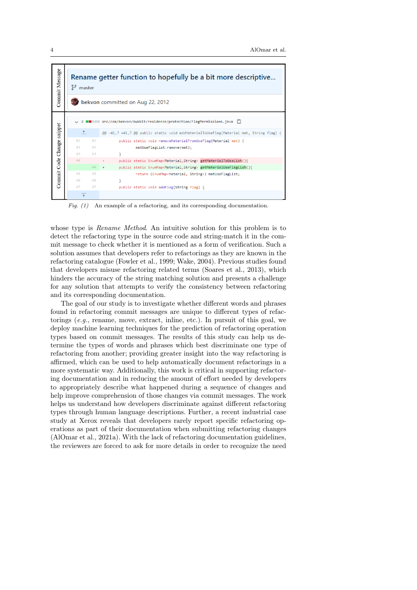<span id="page-3-0"></span>

Fig. (1) An example of a refactoring, and its corresponding documentation.

whose type is *Rename Method*. An intuitive solution for this problem is to detect the refactoring type in the source code and string-match it in the commit message to check whether it is mentioned as a form of verification. Such a solution assumes that developers refer to refactorings as they are known in the refactoring catalogue [\(Fowler et al., 1999;](#page-33-5) [Wake, 2004\)](#page-36-4). Previous studies found that developers misuse refactoring related terms [\(Soares et al., 2013\)](#page-35-3), which hinders the accuracy of the string matching solution and presents a challenge for any solution that attempts to verify the consistency between refactoring and its corresponding documentation.

The goal of our study is to investigate whether different words and phrases found in refactoring commit messages are unique to different types of refactorings (e.g., rename, move, extract, inline, etc.). In pursuit of this goal, we deploy machine learning techniques for the prediction of refactoring operation types based on commit messages. The results of this study can help us determine the types of words and phrases which best discriminate one type of refactoring from another; providing greater insight into the way refactoring is affirmed, which can be used to help automatically document refactorings in a more systematic way. Additionally, this work is critical in supporting refactoring documentation and in reducing the amount of effort needed by developers to appropriately describe what happened during a sequence of changes and help improve comprehension of those changes via commit messages. The work helps us understand how developers discriminate against different refactoring types through human language descriptions. Further, a recent industrial case study at Xerox reveals that developers rarely report specific refactoring operations as part of their documentation when submitting refactoring changes [\(AlOmar et al., 2021a\)](#page-31-2). With the lack of refactoring documentation guidelines, the reviewers are forced to ask for more details in order to recognize the need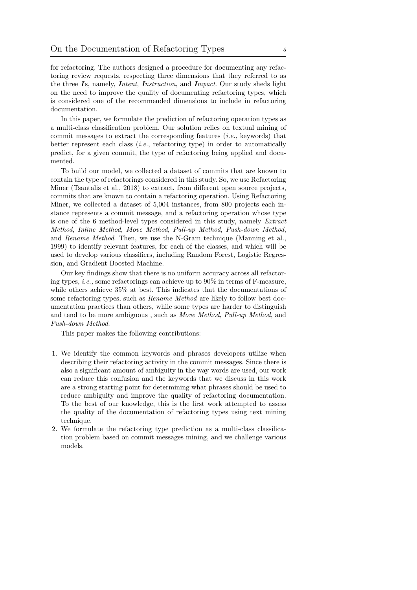for refactoring. The authors designed a procedure for documenting any refactoring review requests, respecting three dimensions that they referred to as the three  $\mathbf{I}$ s, namely, *Intent, Instruction*, and *Impact*. Our study sheds light on the need to improve the quality of documenting refactoring types, which is considered one of the recommended dimensions to include in refactoring documentation.

In this paper, we formulate the prediction of refactoring operation types as a multi-class classification problem. Our solution relies on textual mining of commit messages to extract the corresponding features (i.e., keywords) that better represent each class  $(i.e.,$  refactoring type) in order to automatically predict, for a given commit, the type of refactoring being applied and documented.

To build our model, we collected a dataset of commits that are known to contain the type of refactorings considered in this study. So, we use Refactoring Miner [\(Tsantalis et al., 2018\)](#page-36-5) to extract, from different open source projects, commits that are known to contain a refactoring operation. Using Refactoring Miner, we collected a dataset of 5,004 instances, from 800 projects each instance represents a commit message, and a refactoring operation whose type is one of the 6 method-level types considered in this study, namely Extract Method, Inline Method, Move Method, Pull-up Method, Push-down Method, and Rename Method. Then, we use the N-Gram technique [\(Manning et al.,](#page-34-2) [1999\)](#page-34-2) to identify relevant features, for each of the classes, and which will be used to develop various classifiers, including Random Forest, Logistic Regression, and Gradient Boosted Machine.

Our key findings show that there is no uniform accuracy across all refactoring types, *i.e.*, some refactorings can achieve up to  $90\%$  in terms of F-measure, while others achieve 35% at best. This indicates that the documentations of some refactoring types, such as *Rename Method* are likely to follow best documentation practices than others, while some types are harder to distinguish and tend to be more ambiguous , such as Move Method, Pull-up Method, and Push-down Method.

This paper makes the following contributions:

- 1. We identify the common keywords and phrases developers utilize when describing their refactoring activity in the commit messages. Since there is also a significant amount of ambiguity in the way words are used, our work can reduce this confusion and the keywords that we discuss in this work are a strong starting point for determining what phrases should be used to reduce ambiguity and improve the quality of refactoring documentation. To the best of our knowledge, this is the first work attempted to assess the quality of the documentation of refactoring types using text mining technique.
- 2. We formulate the refactoring type prediction as a multi-class classification problem based on commit messages mining, and we challenge various models.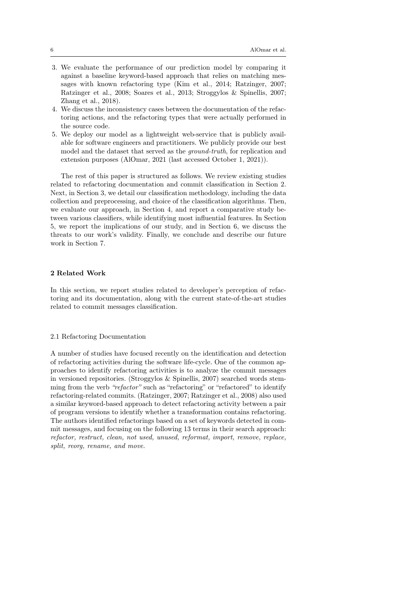- 3. We evaluate the performance of our prediction model by comparing it against a baseline keyword-based approach that relies on matching messages with known refactoring type [\(Kim et al., 2014;](#page-33-4) [Ratzinger, 2007;](#page-35-4) [Ratzinger et al., 2008;](#page-35-5) [Soares et al., 2013;](#page-35-3) [Stroggylos & Spinellis, 2007;](#page-35-6) [Zhang et al., 2018\)](#page-36-3).
- 4. We discuss the inconsistency cases between the documentation of the refactoring actions, and the refactoring types that were actually performed in the source code.
- 5. We deploy our model as a lightweight web-service that is publicly available for software engineers and practitioners. We publicly provide our best model and the dataset that served as the *ground-truth*, for replication and extension purposes [\(AlOmar, 2021 \(last accessed October 1, 2021\)](#page-31-3)).

The rest of this paper is structured as follows. We review existing studies related to refactoring documentation and commit classification in Section [2.](#page-5-0) Next, in Section [3,](#page-9-0) we detail our classification methodology, including the data collection and preprocessing, and choice of the classification algorithms. Then, we evaluate our approach, in Section [4,](#page-17-0) and report a comparative study between various classifiers, while identifying most influential features. In Section [5,](#page-28-0) we report the implications of our study, and in Section [6,](#page-30-0) we discuss the threats to our work's validity. Finally, we conclude and describe our future work in Section [7.](#page-30-1)

## <span id="page-5-0"></span>2 Related Work

In this section, we report studies related to developer's perception of refactoring and its documentation, along with the current state-of-the-art studies related to commit messages classification.

### 2.1 Refactoring Documentation

A number of studies have focused recently on the identification and detection of refactoring activities during the software life-cycle. One of the common approaches to identify refactoring activities is to analyze the commit messages in versioned repositories. [\(Stroggylos & Spinellis, 2007\)](#page-35-6) searched words stemming from the verb "refactor" such as "refactoring" or "refactored" to identify refactoring-related commits. [\(Ratzinger, 2007;](#page-35-4) [Ratzinger et al., 2008\)](#page-35-5) also used a similar keyword-based approach to detect refactoring activity between a pair of program versions to identify whether a transformation contains refactoring. The authors identified refactorings based on a set of keywords detected in commit messages, and focusing on the following 13 terms in their search approach: refactor, restruct, clean, not used, unused, reformat, import, remove, replace, split, reorg, rename, and move.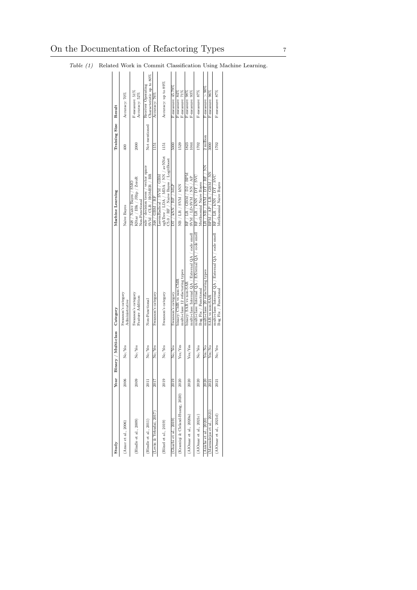| Study                           | ear                          | Binary / Multi-class | Category                                                                         | Machine Learning                                                                                           | Training Size | Result                                         |
|---------------------------------|------------------------------|----------------------|----------------------------------------------------------------------------------|------------------------------------------------------------------------------------------------------------|---------------|------------------------------------------------|
| Amor et al., 2006)              | 2006                         | No/Yes               | Swanson's category<br>Administrative                                             | Naive Bayes                                                                                                | 400           | Accuracy: 70%                                  |
| Hindle et al., 2009             | 2009                         | No/Yes               | Swanson's category<br>Feature Addition                                           | $K\mathrm{Star}$ / IB<br>k / JRip / ZeroR<br>SMC<br>148 / Naive Bayes /<br>Non-Functional                  | 2000          | F-measure: $51\%$<br>Accuracy: 52%             |
| Hindle et al., 2011             | 2011                         | No/Yes               | Non-Functional                                                                   | rule / decision trees / vector space<br>$SVM / CLR / HOMER / BR$                                           | Not mentioned | Characteristic up to 80%<br>Receiver Operating |
| Levin & Yehudai, 2017           | <b>Z017</b>                  | No/Yes               | Swanson's category                                                               | J48 / GBM / RF                                                                                             | 1151          | Accuracy: 76%                                  |
| Hönel et al., $2019$            | 2019                         | No/Yes               | Swanson's category                                                               | xgbTree / LDA / MDA / NN / avNNet 1151<br>C5.0 / RF / Naive Bayes / LogitBoost<br>LssymRadical / SVM / GBM |               | Accuracy: up to 89%                            |
| Gharbi et al., 2019             | 2019                         | No/Yes               | Swanson's category                                                               | TIM / RNN / RF / MLP                                                                                       | 5000          | F-measure: 45.79%                              |
| Krasniqi & Cleland-Huang, 2020) | 2020                         | Yes/Yes              | multi-class: 12 refactoring types<br>binary: CMR vs non-CMR                      | NB / LR / SVM / kNN                                                                                        | 1529          | F-measure: 84%<br>F-measure: 71%               |
| AlOmar et al., 2020a)           | 2020                         | Yes/Yes              | multi-class: Internal QA / External QA / code smell<br>binary: SAR vs non-SAR    | RF / LR / GBM / DJ / BPM<br>$SVM / LD-SVM / NN / AP$                                                       | 1823<br>1044  | F-measure: 93%<br>F-measure: 98%               |
| AlOmar et al., 2021c            | 020<br>$\breve{\phantom{a}}$ | No/Yes               | multi-class: Internal $QA / EX$ ternal $QA / code$ smell<br>Bug Fix / Functional | $\rm{RF}$ / $\rm{LR}$ / $\rm{KNN}$ / $\rm{DT}$ / $\rm{SVC}$<br>Mutlinomial Naive Bayes                     | 1702          | F-measure: 87%                                 |
| Aniche et al., 2020)            | 2020                         | Yes/No               | multi-class: 20 refactoring types                                                | $\overline{\text{LR}}$ / NB / SVM / DT / RF / NN                                                           | 2 million     | F-measure: $> 90\%$                            |
| Marmolejos et al., 2021         | 2021                         | Yes/No               | SAR vs non-SAR                                                                   | BPM / AP / LR / GBM / NNN                                                                                  | 3000          | F-measure: 96%                                 |
| AlOmar et al., 2021d            | 2021                         | No/Yes               | multi-class: Internal QA / External QA / code smell<br>Bug Fix / Functional      | RF / LR / KNN / DT / SVC<br>Mutlinomial Naive Bayes                                                        | 1702          | F-measure: 87%                                 |
|                                 |                              |                      |                                                                                  |                                                                                                            |               |                                                |

<span id="page-6-0"></span>Table (1) Related Work in Commit Classification Using Machine Learning.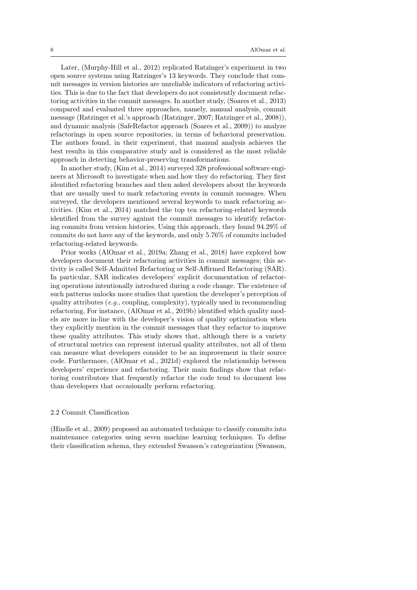Later, [\(Murphy-Hill et al., 2012\)](#page-34-1) replicated Ratzinger's experiment in two open source systems using Ratzinger's 13 keywords. They conclude that commit messages in version histories are unreliable indicators of refactoring activities. This is due to the fact that developers do not consistently document refactoring activities in the commit messages. In another study, [\(Soares et al., 2013\)](#page-35-3) compared and evaluated three approaches, namely, manual analysis, commit message (Ratzinger et al.'s approach [\(Ratzinger, 2007;](#page-35-4) [Ratzinger et al., 2008\)](#page-35-5)), and dynamic analysis (SafeRefactor approach [\(Soares et al., 2009\)](#page-35-7)) to analyze refactorings in open source repositories, in terms of behavioral preservation. The authors found, in their experiment, that manual analysis achieves the best results in this comparative study and is considered as the most reliable approach in detecting behavior-preserving transformations.

In another study, [\(Kim et al., 2014\)](#page-33-4) surveyed 328 professional software engineers at Microsoft to investigate when and how they do refactoring. They first identified refactoring branches and then asked developers about the keywords that are usually used to mark refactoring events in commit messages. When surveyed, the developers mentioned several keywords to mark refactoring activities. [\(Kim et al., 2014\)](#page-33-4) matched the top ten refactoring-related keywords identified from the survey against the commit messages to identify refactoring commits from version histories. Using this approach, they found 94.29% of commits do not have any of the keywords, and only 5.76% of commits included refactoring-related keywords.

Prior works [\(AlOmar et al., 2019a;](#page-31-1) [Zhang et al., 2018\)](#page-36-3) have explored how developers document their refactoring activities in commit messages; this activity is called Self-Admitted Refactoring or Self-Affirmed Refactoring (SAR). In particular, SAR indicates developers' explicit documentation of refactoring operations intentionally introduced during a code change. The existence of such patterns unlocks more studies that question the developer's perception of quality attributes (e.g., coupling, complexity), typically used in recommending refactoring. For instance, [\(AlOmar et al., 2019b\)](#page-32-3) identified which quality models are more in-line with the developer's vision of quality optimization when they explicitly mention in the commit messages that they refactor to improve these quality attributes. This study shows that, although there is a variety of structural metrics can represent internal quality attributes, not all of them can measure what developers consider to be an improvement in their source code. Furthermore, [\(AlOmar et al., 2021d\)](#page-32-8) explored the relationship between developers' experience and refactoring. Their main findings show that refactoring contributors that frequently refactor the code tend to document less than developers that occasionally perform refactoring.

#### 2.2 Commit Classification

[\(Hindle et al., 2009\)](#page-33-6) proposed an automated technique to classify commits into maintenance categories using seven machine learning techniques. To define their classification schema, they extended Swanson's categorization [\(Swanson,](#page-35-8)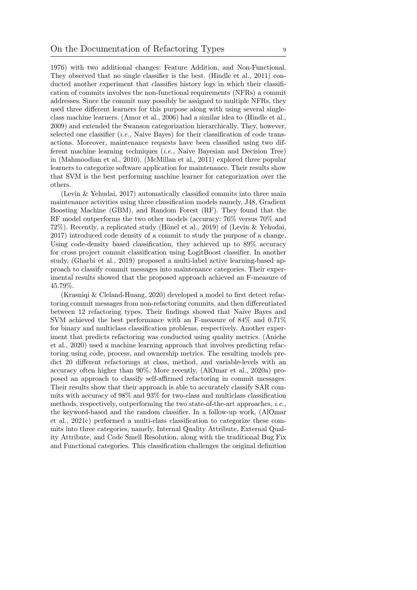[1976\)](#page-35-8) with two additional changes: Feature Addition, and Non-Functional. They observed that no single classifier is the best. [\(Hindle et al., 2011\)](#page-33-7) conducted another experiment that classifies history logs in which their classification of commits involves the non-functional requirements (NFRs) a commit addresses. Since the commit may possibly be assigned to multiple NFRs, they used three different learners for this purpose along with using several singleclass machine learners. [\(Amor et al., 2006\)](#page-32-5) had a similar idea to [\(Hindle et al.,](#page-33-6) [2009\)](#page-33-6) and extended the Swanson categorization hierarchically. They, however, selected one classifier  $(i.e.,$  Naive Bayes) for their classification of code transactions. Moreover, maintenance requests have been classified using two different machine learning techniques (i.e., Naive Bayesian and Decision Tree) in [\(Mahmoodian et al., 2010\)](#page-34-6). [\(McMillan et al., 2011\)](#page-34-7) explored three popular learners to categorize software application for maintenance. Their results show that SVM is the best performing machine learner for categorization over the others.

[\(Levin & Yehudai, 2017\)](#page-34-3) automatically classified commits into three main maintenance activities using three classification models namely, J48, Gradient Boosting Machine (GBM), and Random Forest (RF). They found that the RF model outperforms the two other models (accuracy: 76% versus 70% and 72%). Recently, a replicated study [\(Hönel et al., 2019\)](#page-33-8) of [\(Levin & Yehudai,](#page-34-3) [2017\)](#page-34-3) introduced code density of a commit to study the purpose of a change. Using code-density based classification, they achieved up to 89% accuracy for cross project commit classification using LogitBoost classifier. In another study, [\(Gharbi et al., 2019\)](#page-33-0) proposed a multi-label active learning-based approach to classify commit messages into maintenance categories. Their experimental results showed that the proposed approach achieved an F-measure of 45.79%.

[\(Krasniqi & Cleland-Huang, 2020\)](#page-34-4) developed a model to first detect refactoring commit messages from non-refactoring commits, and then differentiated between 12 refactoring types. Their findings showed that Naive Bayes and SVM achieved the best performance with an F-measure of 84% and 0.71% for binary and multiclass classification problems, respectively. Another experiment that predicts refactoring was conducted using quality metrics. [\(Aniche](#page-32-7) [et al., 2020\)](#page-32-7) used a machine learning approach that involves predicting refactoring using code, process, and ownership metrics. The resulting models predict 20 different refactorings at class, method, and variable-levels with an accuracy often higher than 90%. More recently, [\(AlOmar et al., 2020a\)](#page-31-4) proposed an approach to classify self-affirmed refactoring in commit messages. Their results show that their approach is able to accurately classify SAR commits with accuracy of 98% and 93% for two-class and multiclass classification methods, respectively, outperforming the two state-of-the-art approaches, i.e., the keyword-based and the random classifier. In a follow-up work, [\(AlOmar](#page-32-6) [et al., 2021c\)](#page-32-6) performed a multi-class classification to categorize these commits into three categories, namely, Internal Quality Attribute, External Quality Attribute, and Code Smell Resolution, along with the traditional Bug Fix and Functional categories. This classification challenges the original definition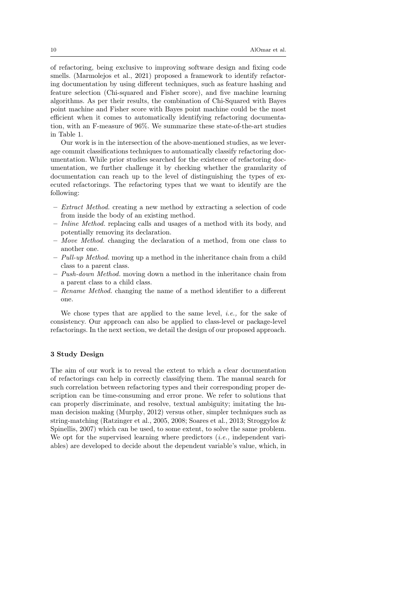of refactoring, being exclusive to improving software design and fixing code smells. [\(Marmolejos et al., 2021\)](#page-34-5) proposed a framework to identify refactoring documentation by using different techniques, such as feature hashing and feature selection (Chi-squared and Fisher score), and five machine learning algorithms. As per their results, the combination of Chi-Squared with Bayes point machine and Fisher score with Bayes point machine could be the most efficient when it comes to automatically identifying refactoring documentation, with an F-measure of 96%. We summarize these state-of-the-art studies in Table [1.](#page-6-0)

Our work is in the intersection of the above-mentioned studies, as we leverage commit classifications techniques to automatically classify refactoring documentation. While prior studies searched for the existence of refactoring documentation, we further challenge it by checking whether the granularity of documentation can reach up to the level of distinguishing the types of executed refactorings. The refactoring types that we want to identify are the following:

- Extract Method. creating a new method by extracting a selection of code from inside the body of an existing method.
- Inline Method. replacing calls and usages of a method with its body, and potentially removing its declaration.
- Move Method. changing the declaration of a method, from one class to another one.
- $-$  Pull-up Method. moving up a method in the inheritance chain from a child class to a parent class.
- Push-down Method. moving down a method in the inheritance chain from a parent class to a child class.
- Rename Method. changing the name of a method identifier to a different one.

We chose types that are applied to the same level, *i.e.*, for the sake of consistency. Our approach can also be applied to class-level or package-level refactorings. In the next section, we detail the design of our proposed approach.

### <span id="page-9-0"></span>3 Study Design

The aim of our work is to reveal the extent to which a clear documentation of refactorings can help in correctly classifying them. The manual search for such correlation between refactoring types and their corresponding proper description can be time-consuming and error prone. We refer to solutions that can properly discriminate, and resolve, textual ambiguity; imitating the human decision making [\(Murphy, 2012\)](#page-34-8) versus other, simpler techniques such as string-matching [\(Ratzinger et al., 2005,](#page-35-9) [2008;](#page-35-5) [Soares et al., 2013;](#page-35-3) [Stroggylos &](#page-35-6) [Spinellis, 2007\)](#page-35-6) which can be used, to some extent, to solve the same problem. We opt for the supervised learning where predictors  $(i.e.,$  independent variables) are developed to decide about the dependent variable's value, which, in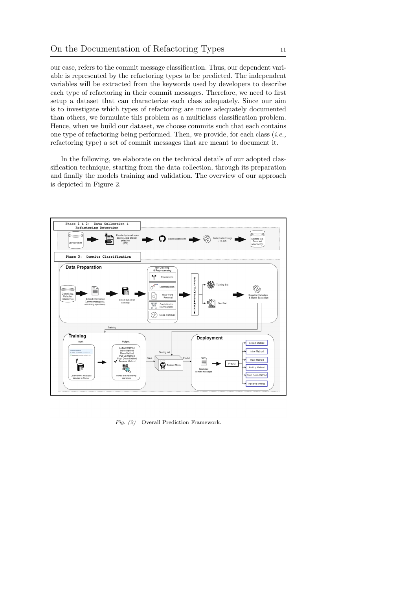our case, refers to the commit message classification. Thus, our dependent variable is represented by the refactoring types to be predicted. The independent variables will be extracted from the keywords used by developers to describe each type of refactoring in their commit messages. Therefore, we need to first setup a dataset that can characterize each class adequately. Since our aim is to investigate which types of refactoring are more adequately documented than others, we formulate this problem as a multiclass classification problem. Hence, when we build our dataset, we choose commits such that each contains one type of refactoring being performed. Then, we provide, for each class  $(i.e.,$ refactoring type) a set of commit messages that are meant to document it.

In the following, we elaborate on the technical details of our adopted classification technique, starting from the data collection, through its preparation and finally the models training and validation. The overview of our approach is depicted in Figure [2.](#page-10-0)

<span id="page-10-0"></span>

Fig. (2) Overall Prediction Framework.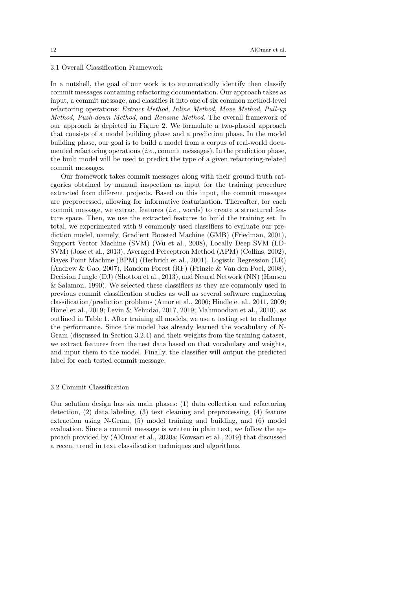### 3.1 Overall Classification Framework

In a nutshell, the goal of our work is to automatically identify then classify commit messages containing refactoring documentation. Our approach takes as input, a commit message, and classifies it into one of six common method-level refactoring operations: Extract Method, Inline Method, Move Method, Pull-up Method, Push-down Method, and Rename Method. The overall framework of our approach is depicted in Figure [2.](#page-10-0) We formulate a two-phased approach that consists of a model building phase and a prediction phase. In the model building phase, our goal is to build a model from a corpus of real-world documented refactoring operations  $(i.e.,$  commit messages). In the prediction phase, the built model will be used to predict the type of a given refactoring-related commit messages.

Our framework takes commit messages along with their ground truth categories obtained by manual inspection as input for the training procedure extracted from different projects. Based on this input, the commit messages are preprocessed, allowing for informative featurization. Thereafter, for each commit message, we extract features  $(i.e.,$  words) to create a structured feature space. Then, we use the extracted features to build the training set. In total, we experimented with 9 commonly used classifiers to evaluate our prediction model, namely, Gradient Boosted Machine (GMB) [\(Friedman, 2001\)](#page-33-9), Support Vector Machine (SVM) [\(Wu et al., 2008\)](#page-36-6), Locally Deep SVM (LD-SVM) [\(Jose et al., 2013\)](#page-33-10), Averaged Perceptron Method (APM) [\(Collins, 2002\)](#page-32-9), Bayes Point Machine (BPM) [\(Herbrich et al., 2001\)](#page-33-11), Logistic Regression (LR) [\(Andrew & Gao, 2007\)](#page-32-10), Random Forest (RF) [\(Prinzie & Van den Poel, 2008\)](#page-35-10), Decision Jungle (DJ) [\(Shotton et al., 2013\)](#page-35-11), and Neural Network (NN) [\(Hansen](#page-33-12) [& Salamon, 1990\)](#page-33-12). We selected these classifiers as they are commonly used in previous commit classification studies as well as several software engineering classification/prediction problems [\(Amor et al., 2006;](#page-32-5) [Hindle et al., 2011,](#page-33-7) [2009;](#page-33-6) [Hönel et al., 2019;](#page-33-8) [Levin & Yehudai, 2017,](#page-34-3) [2019;](#page-34-9) [Mahmoodian et al., 2010\)](#page-34-6), as outlined in Table [1.](#page-6-0) After training all models, we use a testing set to challenge the performance. Since the model has already learned the vocabulary of N-Gram (discussed in Section [3.2.4\)](#page-15-0) and their weights from the training dataset, we extract features from the test data based on that vocabulary and weights, and input them to the model. Finally, the classifier will output the predicted label for each tested commit message.

### 3.2 Commit Classification

Our solution design has six main phases: (1) data collection and refactoring detection, (2) data labeling, (3) text cleaning and preprocessing, (4) feature extraction using N-Gram, (5) model training and building, and (6) model evaluation. Since a commit message is written in plain text, we follow the approach provided by [\(AlOmar et al., 2020a;](#page-31-4) [Kowsari et al., 2019\)](#page-34-10) that discussed a recent trend in text classification techniques and algorithms.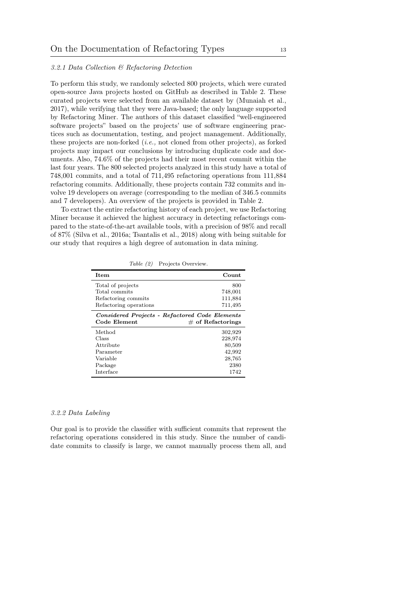## 3.2.1 Data Collection & Refactoring Detection

To perform this study, we randomly selected 800 projects, which were curated open-source Java projects hosted on GitHub as described in Table [2.](#page-12-0) These curated projects were selected from an available dataset by [\(Munaiah et al.,](#page-34-11) [2017\)](#page-34-11), while verifying that they were Java-based; the only language supported by Refactoring Miner. The authors of this dataset classified "well-engineered software projects" based on the projects' use of software engineering practices such as documentation, testing, and project management. Additionally, these projects are non-forked  $(i.e., not cloned from other projects)$ , as forked projects may impact our conclusions by introducing duplicate code and documents. Also, 74.6% of the projects had their most recent commit within the last four years. The 800 selected projects analyzed in this study have a total of 748,001 commits, and a total of 711,495 refactoring operations from 111,884 refactoring commits. Additionally, these projects contain 732 commits and involve 19 developers on average (corresponding to the median of 346.5 commits and 7 developers). An overview of the projects is provided in Table [2.](#page-12-0)

To extract the entire refactoring history of each project, we use Refactoring Miner because it achieved the highest accuracy in detecting refactorings compared to the state-of-the-art available tools, with a precision of 98% and recall of 87% [\(Silva et al., 2016a;](#page-35-12) [Tsantalis et al., 2018\)](#page-36-5) along with being suitable for our study that requires a high degree of automation in data mining.

<span id="page-12-0"></span>

| Item                                                           | Count                |
|----------------------------------------------------------------|----------------------|
| Total of projects                                              | 800                  |
| Total commits                                                  | 748,001              |
| Refactoring commits                                            | 111,884              |
| Refactoring operations                                         | 711,495              |
| Considered Projects - Refactored Code Elements<br>Code Element | $\#$ of Refactorings |
| Method                                                         | 302,929              |
| Class                                                          | 228,974              |
| Attribute                                                      | 80,509               |
| Parameter                                                      | 42,992               |
| Variable                                                       | 28,765               |
| Package                                                        | 2380                 |
| Interface                                                      | 1742                 |

Table (2) Projects Overview.

### 3.2.2 Data Labeling

Our goal is to provide the classifier with sufficient commits that represent the refactoring operations considered in this study. Since the number of candidate commits to classify is large, we cannot manually process them all, and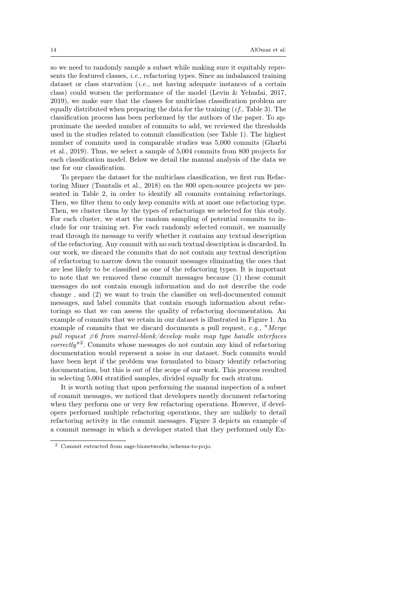so we need to randomly sample a subset while making sure it equitably represents the featured classes, i.e., refactoring types. Since an imbalanced training dataset or class starvation (*i.e.*, not having adequate instances of a certain class) could worsen the performance of the model [\(Levin & Yehudai, 2017,](#page-34-3) [2019\)](#page-34-9), we make sure that the classes for multiclass classification problem are equally distributed when preparing the data for the training  $(cf, Table 3)$  $(cf, Table 3)$ . The classification process has been performed by the authors of the paper. To approximate the needed number of commits to add, we reviewed the thresholds used in the studies related to commit classification (see Table [1\)](#page-6-0). The highest number of commits used in comparable studies was 5,000 commits [\(Gharbi](#page-33-0) [et al., 2019\)](#page-33-0). Thus, we select a sample of 5,004 commits from 800 projects for each classification model. Below we detail the manual analysis of the data we use for our classification.

To prepare the dataset for the multiclass classification, we first run Refactoring Miner [\(Tsantalis et al., 2018\)](#page-36-5) on the 800 open-source projects we presented in Table [2,](#page-12-0) in order to identify all commits containing refactorings. Then, we filter them to only keep commits with at most one refactoring type. Then, we cluster them by the types of refactorings we selected for this study. For each cluster, we start the random sampling of potential commits to include for our training set. For each randomly selected commit, we manually read through its message to verify whether it contains any textual description of the refactoring. Any commit with no such textual description is discarded. In our work, we discard the commits that do not contain any textual description of refactoring to narrow down the commit messages eliminating the ones that are less likely to be classified as one of the refactoring types. It is important to note that we removed these commit messages because (1) these commit messages do not contain enough information and do not describe the code change , and (2) we want to train the classifier on well-documented commit messages, and label commits that contain enough information about refactorings so that we can assess the quality of refactoring documentation. An example of commits that we retain in our dataset is illustrated in Figure [1.](#page-3-0) An example of commits that we discard documents a pull request,  $e.q.,$  "Merge pull request  $\#6$  from marcel-blonk/develop make map type handle interfaces correctly" [2](#page-13-0) . Commits whose messages do not contain any kind of refactoring documentation would represent a noise in our dataset. Such commits would have been kept if the problem was formulated to binary identify refactoring documentation, but this is out of the scope of our work. This process resulted in selecting 5,004 stratified samples, divided equally for each stratum.

It is worth noting that upon performing the manual inspection of a subset of commit messages, we noticed that developers mostly document refactoring when they perform one or very few refactoring operations. However, if developers performed multiple refactoring operations, they are unlikely to detail refactoring activity in the commit messages. Figure [3](#page-14-1) depicts an example of a commit message in which a developer stated that they performed only Ex-

<span id="page-13-0"></span>Commit extracted from sage-bionetworks/schema-to-pojo.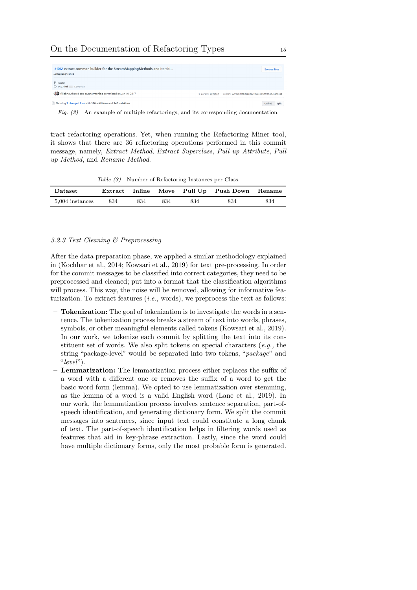<span id="page-14-1"></span>

| #1012 extract common builder for the StreamMappingMethods and Iterabl<br>eMappingMethod | <b>Browse files</b>                                                 |
|-----------------------------------------------------------------------------------------|---------------------------------------------------------------------|
| $19$ master<br>◯ 1.4.2.Final  1.2.0.Beta1                                               |                                                                     |
| filiphr authored and gunnarmorling committed on Jan 10, 2017                            | commit 029368494bdc118a34060ecdfd9f95cf7aa46e21<br>1 parent 090cfe3 |
| $\pm$ Showing 7 changed files with 320 additions and 340 deletions.                     | <b>Unified</b><br>Split                                             |

Fig. (3) An example of multiple refactorings, and its corresponding documentation.

tract refactoring operations. Yet, when running the Refactoring Miner tool, it shows that there are 36 refactoring operations performed in this commit message, namely, Extract Method, Extract Superclass, Pull up Attribute, Pull up Method, and Rename Method.

Table (3) Number of Refactoring Instances per Class.

<span id="page-14-0"></span>

| Dataset         |     |     |     |     | Extract Inline Move Pull Up Push Down Rename |     |
|-----------------|-----|-----|-----|-----|----------------------------------------------|-----|
| 5,004 instances | 834 | 834 | 834 | 834 | 834                                          | 834 |

### 3.2.3 Text Cleaning & Preprocessing

After the data preparation phase, we applied a similar methodology explained in [\(Kochhar et al., 2014;](#page-33-13) [Kowsari et al., 2019\)](#page-34-10) for text pre-processing. In order for the commit messages to be classified into correct categories, they need to be preprocessed and cleaned; put into a format that the classification algorithms will process. This way, the noise will be removed, allowing for informative featurization. To extract features  $(i.e., words),$  we preprocess the text as follows:

- Tokenization: The goal of tokenization is to investigate the words in a sentence. The tokenization process breaks a stream of text into words, phrases, symbols, or other meaningful elements called tokens [\(Kowsari et al., 2019\)](#page-34-10). In our work, we tokenize each commit by splitting the text into its constituent set of words. We also split tokens on special characters  $(e,q, \theta)$ , string "package-level" would be separated into two tokens, "package" and " $level$ ").
- Lemmatization: The lemmatization process either replaces the suffix of a word with a different one or removes the suffix of a word to get the basic word form (lemma). We opted to use lemmatization over stemming, as the lemma of a word is a valid English word [\(Lane et al., 2019\)](#page-34-12). In our work, the lemmatization process involves sentence separation, part-ofspeech identification, and generating dictionary form. We split the commit messages into sentences, since input text could constitute a long chunk of text. The part-of-speech identification helps in filtering words used as features that aid in key-phrase extraction. Lastly, since the word could have multiple dictionary forms, only the most probable form is generated.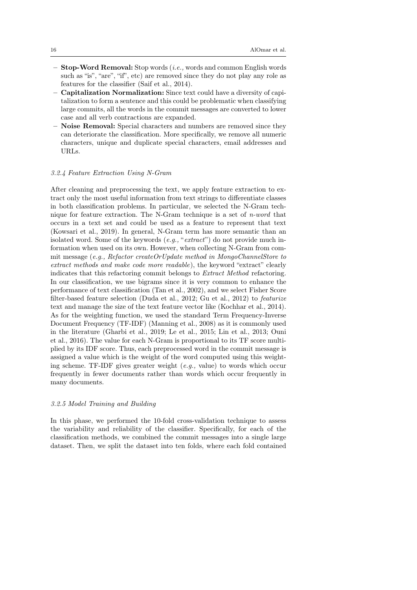- Stop-Word Removal: Stop words (i.e., words and common English words such as "is", "are", "if", etc) are removed since they do not play any role as features for the classifier [\(Saif et al., 2014\)](#page-35-13).
- Capitalization Normalization: Since text could have a diversity of capitalization to form a sentence and this could be problematic when classifying large commits, all the words in the commit messages are converted to lower case and all verb contractions are expanded.
- Noise Removal: Special characters and numbers are removed since they can deteriorate the classification. More specifically, we remove all numeric characters, unique and duplicate special characters, email addresses and URLs.

### <span id="page-15-0"></span>3.2.4 Feature Extraction Using N-Gram

After cleaning and preprocessing the text, we apply feature extraction to extract only the most useful information from text strings to differentiate classes in both classification problems. In particular, we selected the N-Gram technique for feature extraction. The N-Gram technique is a set of n-word that occurs in a text set and could be used as a feature to represent that text [\(Kowsari et al., 2019\)](#page-34-10). In general, N-Gram term has more semantic than an isolated word. Some of the keywords  $(e.g., "extract")$  do not provide much information when used on its own. However, when collecting N-Gram from commit message (e.g., Refactor createOrUpdate method in MongoChannelStore to extract methods and make code more readable), the keyword "extract" clearly indicates that this refactoring commit belongs to Extract Method refactoring. In our classification, we use bigrams since it is very common to enhance the performance of text classification [\(Tan et al., 2002\)](#page-36-7), and we select Fisher Score filter-based feature selection [\(Duda et al., 2012;](#page-33-14) [Gu et al., 2012\)](#page-33-15) to featurize text and manage the size of the text feature vector like [\(Kochhar et al., 2014\)](#page-33-13). As for the weighting function, we used the standard Term Frequency-Inverse Document Frequency (TF-IDF) [\(Manning et al., 2008\)](#page-34-13) as it is commonly used in the literature [\(Gharbi et al., 2019;](#page-33-0) [Le et al., 2015;](#page-34-14) [Lin et al., 2013;](#page-34-15) [Ouni](#page-34-16) [et al., 2016\)](#page-34-16). The value for each N-Gram is proportional to its TF score multiplied by its IDF score. Thus, each preprocessed word in the commit message is assigned a value which is the weight of the word computed using this weighting scheme. TF-IDF gives greater weight  $(e.q.,$  value) to words which occur frequently in fewer documents rather than words which occur frequently in many documents.

## 3.2.5 Model Training and Building

In this phase, we performed the 10-fold cross-validation technique to assess the variability and reliability of the classifier. Specifically, for each of the classification methods, we combined the commit messages into a single large dataset. Then, we split the dataset into ten folds, where each fold contained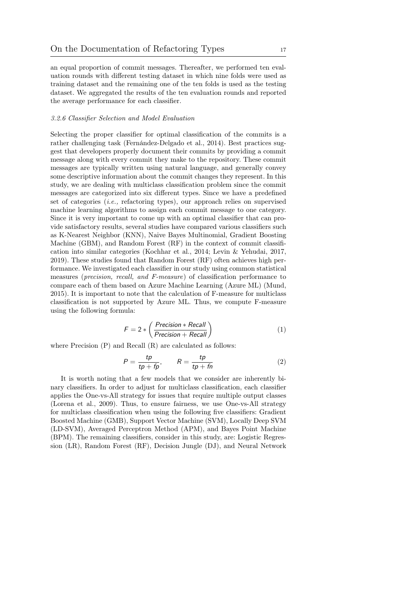an equal proportion of commit messages. Thereafter, we performed ten evaluation rounds with different testing dataset in which nine folds were used as training dataset and the remaining one of the ten folds is used as the testing dataset. We aggregated the results of the ten evaluation rounds and reported the average performance for each classifier.

### 3.2.6 Classifier Selection and Model Evaluation

Selecting the proper classifier for optimal classification of the commits is a rather challenging task [\(Fernández-Delgado et al., 2014\)](#page-33-16). Best practices suggest that developers properly document their commits by providing a commit message along with every commit they make to the repository. These commit messages are typically written using natural language, and generally convey some descriptive information about the commit changes they represent. In this study, we are dealing with multiclass classification problem since the commit messages are categorized into six different types. Since we have a predefined set of categories  $(i.e.,$  refactoring types), our approach relies on supervised machine learning algorithms to assign each commit message to one category. Since it is very important to come up with an optimal classifier that can provide satisfactory results, several studies have compared various classifiers such as K-Nearest Neighbor (KNN), Naive Bayes Multinomial, Gradient Boosting Machine (GBM), and Random Forest (RF) in the context of commit classification into similar categories [\(Kochhar et al., 2014;](#page-33-13) [Levin & Yehudai, 2017,](#page-34-3) [2019\)](#page-34-9). These studies found that Random Forest (RF) often achieves high performance. We investigated each classifier in our study using common statistical measures (precision, recall, and F-measure) of classification performance to compare each of them based on Azure Machine Learning (Azure ML) [\(Mund,](#page-34-17) [2015\)](#page-34-17). It is important to note that the calculation of F-measure for multiclass classification is not supported by Azure ML. Thus, we compute F-measure using the following formula:

$$
F = 2 * \left( \frac{Precision * Recall}{Precision + Recall} \right)
$$
 (1)

where Precision (P) and Recall (R) are calculated as follows:

$$
P = \frac{tp}{tp + fp}, \qquad R = \frac{tp}{tp + fn} \tag{2}
$$

It is worth noting that a few models that we consider are inherently binary classifiers. In order to adjust for multiclass classification, each classifier applies the One-vs-All strategy for issues that require multiple output classes [\(Lorena et al., 2009\)](#page-34-18). Thus, to ensure fairness, we use One-vs-All strategy for multiclass classification when using the following five classifiers: Gradient Boosted Machine (GMB), Support Vector Machine (SVM), Locally Deep SVM (LD-SVM), Averaged Perceptron Method (APM), and Bayes Point Machine (BPM). The remaining classifiers, consider in this study, are: Logistic Regression (LR), Random Forest (RF), Decision Jungle (DJ), and Neural Network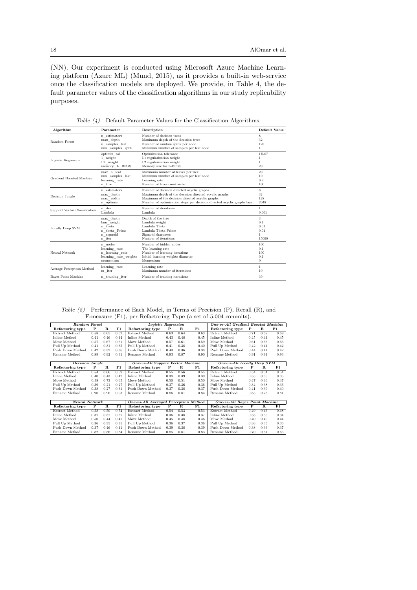(NN). Our experiment is conducted using Microsoft Azure Machine Learning platform (Azure ML) [\(Mund, 2015\)](#page-34-17), as it provides a built-in web-service once the classification models are deployed. We provide, in Table [4,](#page-17-1) the default parameter values of the classification algorithms in our study replicability purposes.

<span id="page-17-1"></span>

| Algorithm                     | Parameter                                                                                                                                                                                 | Description                                                             | Default Value          |
|-------------------------------|-------------------------------------------------------------------------------------------------------------------------------------------------------------------------------------------|-------------------------------------------------------------------------|------------------------|
| <b>Random Forest</b>          | n estimators                                                                                                                                                                              | Number of decision trees                                                | 8                      |
|                               | max depth                                                                                                                                                                                 | Maximum depth of the decision trees                                     | 32                     |
|                               | n samples leaf                                                                                                                                                                            | Number of random splits per node                                        | 128                    |
|                               | min samples split                                                                                                                                                                         | Minimum number of samples per leaf node                                 | $\mathbf{1}$           |
| Logistic Regression           | optimiz tol                                                                                                                                                                               | Optimization tolerance                                                  | 1E-07                  |
|                               | 1 weight                                                                                                                                                                                  | L1 regularization weight                                                | $\mathbf{1}$           |
|                               | L2 weight                                                                                                                                                                                 | L2 regularization weight                                                | 1                      |
|                               | memory L BFGS                                                                                                                                                                             | Memory size for L-BFGS                                                  | 20                     |
| Gradient Boosted Machine      | max n leaf<br>Maximum number of leaves per tree<br>Minimum number of samples per leaf node<br>min samples leaf<br>learning rate<br>Learning rate<br>Number of trees constructed<br>n_tree |                                                                         | 20<br>10<br>0.2<br>100 |
| Decision Jungle               | n estimators                                                                                                                                                                              | Number of decision directed acyclic graphs                              | 8                      |
|                               | max depth                                                                                                                                                                                 | Maximum depth of the decision directed acyclic graphs                   | 32                     |
|                               | max width                                                                                                                                                                                 | Maximum of the decision directed acyclic graphs                         | 128                    |
|                               | n optimiz                                                                                                                                                                                 | Number of optimization steps per decision directed acyclic graphs layer | 2048                   |
| Support Vector Classification | n iter                                                                                                                                                                                    | Number of iterations                                                    | $\mathbf{1}$           |
|                               | Lambda                                                                                                                                                                                    | Lambda                                                                  | 0.001                  |
| Locally Deep SVM              | max depth                                                                                                                                                                                 | Depth of the tree                                                       | 3                      |
|                               | lam weight                                                                                                                                                                                | Lambda weight                                                           | 0.1                    |
|                               | n theta                                                                                                                                                                                   | Lambda Theta                                                            | 0.01                   |
|                               | n theta Prime                                                                                                                                                                             | Lambda Theta Prime                                                      | 0.01                   |
|                               | n sigmoid                                                                                                                                                                                 | Sigmoid sharpness                                                       | $\mathbf{1}$           |
|                               | $\mathbf{n}\  \  \, \text{iter}$                                                                                                                                                          | Number of iterations                                                    | 15000                  |
| Neural Network                | n nodes                                                                                                                                                                                   | Number of hidden nodes                                                  | 100                    |
|                               | learning rate                                                                                                                                                                             | The learning rate                                                       | 0.1                    |
|                               | n learning rate                                                                                                                                                                           | Number of learning iterations                                           | 100                    |
|                               | learning rate weights                                                                                                                                                                     | Initial learning weights diameter                                       | 0.1                    |
|                               | momentum                                                                                                                                                                                  | Momentum                                                                | $\overline{0}$         |
| Average Perceptron Method     | learning rate                                                                                                                                                                             | Learning rate                                                           | $\mathbf{1}$           |
|                               | m iter                                                                                                                                                                                    | Maximum number of iterations                                            | 10                     |
| <b>Baves Point Machine</b>    | n training iter                                                                                                                                                                           | Number of training iterations                                           | 30                     |

Table (4) Default Parameter Values for the Classification Algorithms.

<span id="page-17-2"></span>Table (5) Performance of Each Model, in Terms of Precision (P), Recall (R), and F-measure (F1), per Refactoring Type (a set of 5,004 commits).

<span id="page-17-0"></span>

| Random Forest    |                                                                |             |             | Logistic Regression                                              |             |             |             | One-vs-All Gradient Boosted Machine |      |                       |      |  |
|------------------|----------------------------------------------------------------|-------------|-------------|------------------------------------------------------------------|-------------|-------------|-------------|-------------------------------------|------|-----------------------|------|--|
| Refactoring type | P                                                              | $\mathbf R$ | F1          | Refactoring type                                                 | P           | $\mathbf R$ | F1          | Refactoring type                    | P    | $\mathbf R$           | F1   |  |
| Extract Method   | 0.58                                                           | 0.65        | 0.62        | Extract Method                                                   | 0.63        | 0.64        | 0.63        | Extract Method                      | 0.71 | 0.68                  | 0.69 |  |
| Inline Method    | 0.41                                                           | 0.46        | 0.44        | Inline Method                                                    | 0.43        | 0.48        | 0.45        | Inline Method                       | 0.45 | 0.44                  | 0.45 |  |
| Move Method      | 0.57                                                           | 0.67        | 0.61        | Move Method                                                      | 0.57        | 0.61        | 0.59        | Move Method                         | 0.61 | 0.66                  | 0.63 |  |
| Pull Up Method   | 0.41                                                           | 0.31        | 0.35        | Pull Up Method                                                   | 0.41        | 0.38        | 0.40        | Pull Up Method                      | 0.42 | 0.41                  | 0.42 |  |
| Push Down Method | 0.42                                                           | 0.32        | 0.36        | Push Down Method                                                 | 0.40        | 0.36        | 0.38        | Push Down Method                    | 0.44 | 0.41                  | 0.42 |  |
| Rename Method    | 0.89                                                           | 0.92        | 0.91        | Rename Method                                                    | 0.93        | 0.87        | 0.90        | Rename Method                       | 0.91 | 0.94                  | 0.93 |  |
|                  |                                                                |             |             |                                                                  |             |             |             |                                     |      |                       |      |  |
| Decision Jungle  |                                                                |             |             | One-vs-All Support Vector Machine<br>One-vs-All Locally Deep SVM |             |             |             |                                     |      |                       |      |  |
| Refactoring type | P                                                              | $\mathbf R$ | F1          | Refactoring type                                                 | $\mathbf P$ | $\mathbf R$ | F1          | Refactoring type                    | P    | $\mathbf R$           | F1   |  |
| Extract Method   | 0.54                                                           | 0.66        | 0.59        | Extract Method                                                   | 0.55        | 0.56        | 0.55        | Extract Method                      | 0.54 | 0.54                  | 0.54 |  |
| Inline Method    | 0.40                                                           | 0.43        | 0.42        | Inline Method                                                    | 0.38        | 0.39        | 0.39        | Inline Method                       | 0.35 | 0.35                  | 0.35 |  |
| Move Method      | 0.58                                                           | 0.73        | 0.65        | Move Method                                                      | 0.50        | 0.51        | 0.50        | Move Method                         | 0.47 | 0.46                  | 0.47 |  |
| Pull Up Method   | 0.39                                                           | 0.21        | 0.27        | Pull Up Method                                                   | 0.37        | 0.36        | 0.36        | Pull Up Method                      | 0.34 | 0.38                  | 0.36 |  |
| Push Down Method | 0.38                                                           | 0.27        | 0.31        | Push Down Method                                                 | 0.37        | 0.38        | 0.37        | Push Down Method                    | 0.41 | 0.39                  | 0.40 |  |
| Rename Method    | 0.90                                                           | 0.96        | 0.93        | Rename Method                                                    | 0.86        | 0.81        | 0.84        | Rename Method                       | 0.85 | 0.78                  | 0.81 |  |
|                  |                                                                |             |             |                                                                  |             |             |             |                                     |      |                       |      |  |
|                  | <b>Neural Network</b><br>One-vs-All Averaged Perceptron Method |             |             |                                                                  |             |             |             | One-vs-All Bayes Point Machine      |      |                       |      |  |
| Refactoring type | P                                                              | $\mathbf R$ | $_{\rm F1}$ | Refactoring type                                                 | P           | $\mathbf R$ | $_{\rm F1}$ | Refactoring type                    | P    | $\overline{\text{R}}$ | F1   |  |
| Extract Method   | 0.58                                                           | 0.50        | 0.54        | Extract Method                                                   | 0.54        | 0.53        | 0.53        | Extract Method                      | 0.49 | 0.46                  | 0.48 |  |
| Inline Method    | 0.37                                                           | 0.37        | 0.37        | Inline Method                                                    | 0.36        | 0.38        | 0.37        | Inline Method                       | 0.33 | 0.35                  | 0.34 |  |
| Move Method      | 0.50                                                           | 0.44        | 0.47        | Move Method                                                      | 0.45        | 0.48        | 0.46        | Move Method                         | 0.40 | 0.49                  | 0.44 |  |
| Pull Up Method   | 0.36                                                           | 0.35        | 0.35        | Pull Up Method                                                   | 0.36        | 0.37        | 0.36        | Pull Up Method                      | 0.36 | 0.35                  | 0.36 |  |
| Push Down Method | 0.37                                                           | 0.46        | 0.41        | Push Down Method                                                 | 0.39        | 0.38        | 0.39        | Push Down Method                    | 0.38 | 0.36                  | 0.37 |  |
| Rename Method    | 0.82                                                           | 0.86        | 0.84        | Rename Method                                                    | 0.85        | 0.81        | 0.83        | Rename Method                       | 0.70 | 0.61                  | 0.65 |  |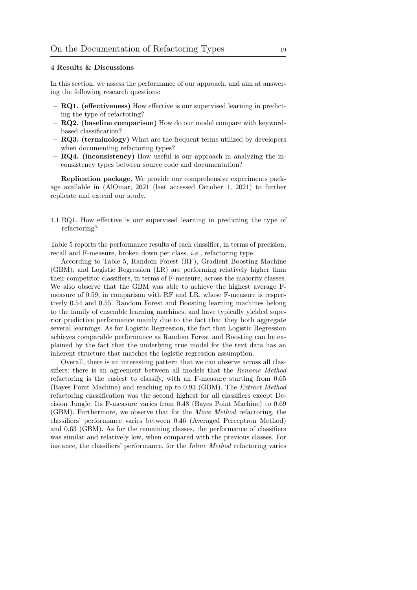## 4 Results & Discussions

In this section, we assess the performance of our approach, and aim at answering the following research questions:

- RQ1. (effectiveness) How effective is our supervised learning in predicting the type of refactoring?
- RQ2. (baseline comparison) How do our model compare with keywordbased classification?
- RQ3. (terminology) What are the frequent terms utilized by developers when documenting refactoring types?
- RQ4. (inconsistency) How useful is our approach in analyzing the inconsistency types between source code and documentation?

Replication package. We provide our comprehensive experiments package available in [\(AlOmar, 2021 \(last accessed October 1, 2021\)](#page-31-3) to further replicate and extend our study.

4.1 RQ1. How effective is our supervised learning in predicting the type of refactoring?

Table [5](#page-17-2) reports the performance results of each classifier, in terms of precision, recall and F-measure, broken down per class, i.e., refactoring type.

According to Table [5,](#page-17-2) Random Forest (RF), Gradient Boosting Machine (GBM), and Logistic Regression (LR) are performing relatively higher than their competitor classifiers, in terms of F-measure, across the majority classes. We also observe that the GBM was able to achieve the highest average Fmeasure of 0.59, in comparison with RF and LR, whose F-measure is respectively 0.54 and 0.55. Random Forest and Boosting learning machines belong to the family of ensemble learning machines, and have typically yielded superior predictive performance mainly due to the fact that they both aggregate several learnings. As for Logistic Regression, the fact that Logistic Regression achieves comparable performance as Random Forest and Boosting can be explained by the fact that the underlying true model for the text data has an inherent structure that matches the logistic regression assumption.

Overall, there is an interesting pattern that we can observe across all classifiers: there is an agreement between all models that the Rename Method refactoring is the easiest to classify, with an F-measure starting from 0.65 (Bayes Point Machine) and reaching up to 0.93 (GBM). The Extract Method refactoring classification was the second highest for all classifiers except Decision Jungle. Its F-measure varies from 0.48 (Bayes Point Machine) to 0.69 (GBM). Furthermore, we observe that for the Move Method refactoring, the classifiers' performance varies between 0.46 (Averaged Perceptron Method) and 0.63 (GBM). As for the remaining classes, the performance of classifiers was similar and relatively low, when compared with the previous classes. For instance, the classifiers' performance, for the Inline Method refactoring varies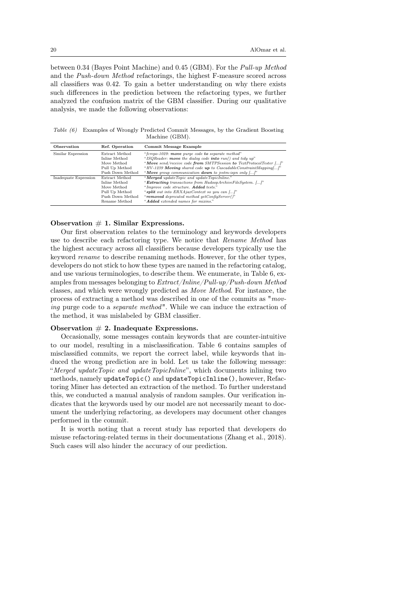between 0.34 (Bayes Point Machine) and 0.45 (GBM). For the Pull-up Method and the Push-down Method refactorings, the highest F-measure scored across all classifiers was 0.42. To gain a better understanding on why there exists such differences in the prediction between the refactoring types, we further analyzed the confusion matrix of the GBM classifier. During our qualitative analysis, we made the following observations:

<span id="page-19-0"></span>Table (6) Examples of Wrongly Predicted Commit Messages, by the Gradient Boosting Machine (GBM).

| Observation           | Ref. Operation   | Commit Message Example                                             |
|-----------------------|------------------|--------------------------------------------------------------------|
| Similar Expression    | Extract Method   | "fcrepo-1029: move purge code to separate method"                  |
|                       | Inline Method    | "ISQReader: move the dialog code into $run()$ and tidy $up"$       |
|                       | Move Method      | "Move send/receive code from SMTPSession to TextProtocolTester []" |
|                       | Pull Up Method   | "HV-1239 Moving shared code up to CascadableConstraintMapping[]"   |
|                       | Push Down Method | "Move group communication <b>down</b> to justm-ispn only $[]$ "    |
| Inadequate Expression | Extract Method   | "Merged update Topic and update TopicInline."                      |
|                       | Inline Method    | "Extracting transactions from HadoopArchiveFileSystem. []"         |
|                       | Move Method      | "Improve code structure. Added tests."                             |
|                       | Pull Up Method   | "split out into ERXAjaxContext so you can []"                      |
|                       | Push Down Method | "removed deprecated method getConfigServer()"                      |
|                       | Rename Method    | "Added extended names for mixins."                                 |

### Observation  $# 1$ . Similar Expressions.

Our first observation relates to the terminology and keywords developers use to describe each refactoring type. We notice that Rename Method has the highest accuracy across all classifiers because developers typically use the keyword rename to describe renaming methods. However, for the other types, developers do not stick to how these types are named in the refactoring catalog, and use various terminologies, to describe them. We enumerate, in Table [6,](#page-19-0) examples from messages belonging to Extract/Inline/Pull-up/Push-down Method classes, and which were wrongly predicted as Move Method. For instance, the process of extracting a method was described in one of the commits as "moving purge code to a separate method". While we can induce the extraction of the method, it was mislabeled by GBM classifier.

### Observation  $# 2$ . Inadequate Expressions.

Occasionally, some messages contain keywords that are counter-intuitive to our model, resulting in a misclassification. Table [6](#page-19-0) contains samples of misclassified commits, we report the correct label, while keywords that induced the wrong prediction are in bold. Let us take the following message: "Merged updateTopic and updateTopicInline", which documents inlining two methods, namely updateTopic() and updateTopicInline(), however, Refactoring Miner has detected an extraction of the method. To further understand this, we conducted a manual analysis of random samples. Our verification indicates that the keywords used by our model are not necessarily meant to document the underlying refactoring, as developers may document other changes performed in the commit.

It is worth noting that a recent study has reported that developers do misuse refactoring-related terms in their documentations [\(Zhang et al., 2018\)](#page-36-3). Such cases will also hinder the accuracy of our prediction.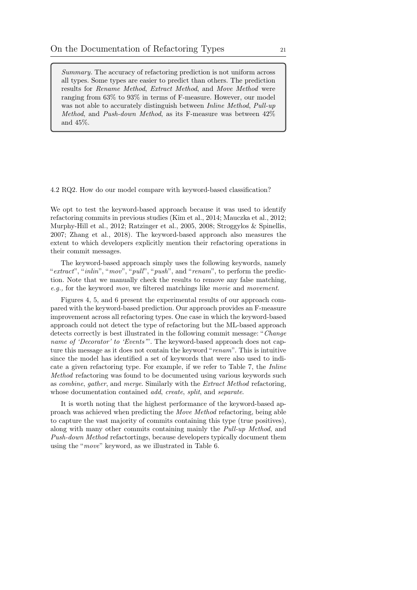Summary. The accuracy of refactoring prediction is not uniform across all types. Some types are easier to predict than others. The prediction results for Rename Method, Extract Method, and Move Method were ranging from 63% to 93% in terms of F-measure. However, our model was not able to accurately distinguish between *Inline Method*, Pull-up Method, and Push-down Method, as its F-measure was between 42% and 45%.

4.2 RQ2. How do our model compare with keyword-based classification?

We opt to test the keyword-based approach because it was used to identify refactoring commits in previous studies [\(Kim et al., 2014;](#page-33-4) [Mauczka et al., 2012;](#page-34-19) [Murphy-Hill et al., 2012;](#page-34-1) [Ratzinger et al., 2005,](#page-35-9) [2008;](#page-35-5) [Stroggylos & Spinellis,](#page-35-6) [2007;](#page-35-6) [Zhang et al., 2018\)](#page-36-3). The keyword-based approach also measures the extent to which developers explicitly mention their refactoring operations in their commit messages.

The keyword-based approach simply uses the following keywords, namely "extract", "inlin", "mov", "pull", "push", and "renam", to perform the prediction. Note that we manually check the results to remove any false matching, e.g., for the keyword mov, we filtered matchings like movie and movement.

Figures [4, 5,](#page-21-0) and [6](#page-21-0) present the experimental results of our approach compared with the keyword-based prediction. Our approach provides an F-measure improvement across all refactoring types. One case in which the keyword-based approach could not detect the type of refactoring but the ML-based approach detects correctly is best illustrated in the following commit message: "Change name of 'Decorator' to 'Events'". The keyword-based approach does not capture this message as it does not contain the keyword "*renam*". This is intuitive since the model has identified a set of keywords that were also used to indicate a given refactoring type. For example, if we refer to Table [7,](#page-22-0) the Inline Method refactoring was found to be documented using various keywords such as combine, gather, and merge. Similarly with the Extract Method refactoring, whose documentation contained *add, create, split,* and *separate.* 

It is worth noting that the highest performance of the keyword-based approach was achieved when predicting the Move Method refactoring, being able to capture the vast majority of commits containing this type (true positives), along with many other commits containing mainly the Pull-up Method, and Push-down Method refactortings, because developers typically document them using the "move" keyword, as we illustrated in Table [6.](#page-19-0)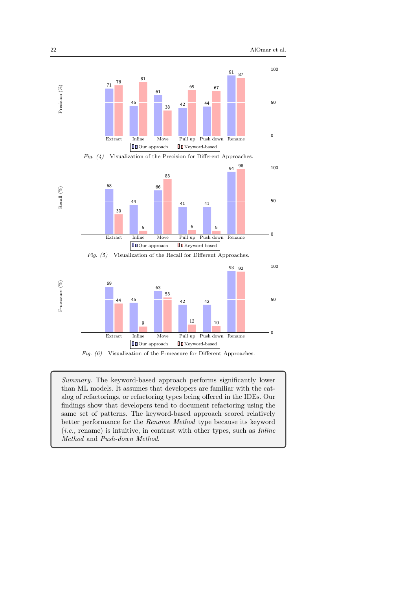<span id="page-21-0"></span>

Fig. (6) Visualization of the F-measure for Different Approaches.

 $\begin{tabular}{|c|c|c|} \hline \hline $\blacksquare$ Our approach \\\hline \end{tabular} \begin{tabular}{c} \hline $\blacksquare$ Weyword-based \\\hline \end{tabular}$ 

Summary. The keyword-based approach performs significantly lower than ML models. It assumes that developers are familiar with the catalog of refactorings, or refactoring types being offered in the IDEs. Our findings show that developers tend to document refactoring using the same set of patterns. The keyword-based approach scored relatively better performance for the Rename Method type because its keyword  $(i.e.,$  rename) is intuitive, in contrast with other types, such as  $\textit{Inline}$ Method and Push-down Method.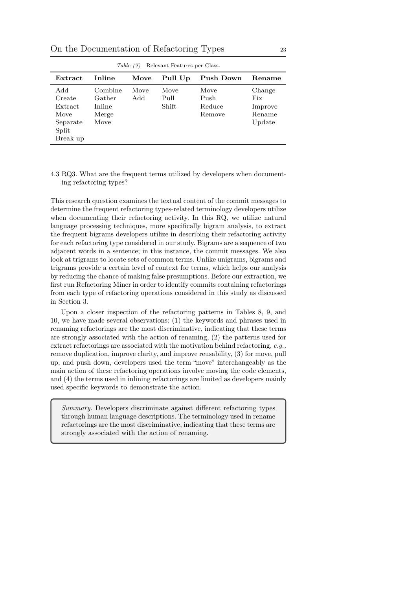On the Documentation of Refactoring Types 23

<span id="page-22-0"></span>

| Table (7)<br>Relevant Features per Class.                         |                                              |             |                       |                                  |                                              |  |  |
|-------------------------------------------------------------------|----------------------------------------------|-------------|-----------------------|----------------------------------|----------------------------------------------|--|--|
| Extract                                                           | Inline                                       | Move        | Pull Up               | Push Down                        | Rename                                       |  |  |
| Add<br>Create<br>Extract<br>Move<br>Separate<br>Split<br>Break up | Combine<br>Gather<br>Inline<br>Merge<br>Move | Move<br>Add | Move<br>Pull<br>Shift | Move<br>Push<br>Reduce<br>Remove | Change<br>Fix<br>Improve<br>Rename<br>Update |  |  |

 $T(T)$   $\left(2\pi\right)$   $\left(2\pi\right)$ 

## 4.3 RQ3. What are the frequent terms utilized by developers when documenting refactoring types?

This research question examines the textual content of the commit messages to determine the frequent refactoring types-related terminology developers utilize when documenting their refactoring activity. In this RQ, we utilize natural language processing techniques, more specifically bigram analysis, to extract the frequent bigrams developers utilize in describing their refactoring activity for each refactoring type considered in our study. Bigrams are a sequence of two adjacent words in a sentence; in this instance, the commit messages. We also look at trigrams to locate sets of common terms. Unlike unigrams, bigrams and trigrams provide a certain level of context for terms, which helps our analysis by reducing the chance of making false presumptions. Before our extraction, we first run Refactoring Miner in order to identify commits containing refactorings from each type of refactoring operations considered in this study as discussed in Section [3.](#page-9-0)

Upon a closer inspection of the refactoring patterns in Tables [8,](#page-23-0) [9,](#page-24-0) and [10,](#page-25-0) we have made several observations: (1) the keywords and phrases used in renaming refactorings are the most discriminative, indicating that these terms are strongly associated with the action of renaming, (2) the patterns used for extract refactorings are associated with the motivation behind refactoring, e.g., remove duplication, improve clarity, and improve reusability, (3) for move, pull up, and push down, developers used the term "move" interchangeably as the main action of these refactoring operations involve moving the code elements, and (4) the terms used in inlining refactorings are limited as developers mainly used specific keywords to demonstrate the action.

Summary. Developers discriminate against different refactoring types through human language descriptions. The terminology used in rename refactorings are the most discriminative, indicating that these terms are strongly associated with the action of renaming.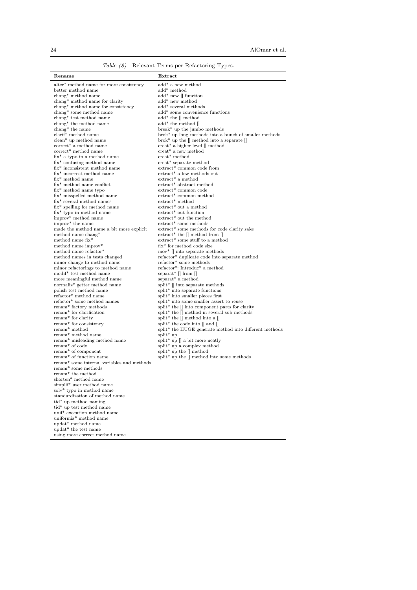Table (8) Relevant Terms per Refactoring Types.

<span id="page-23-0"></span>

| Rename                                                                  | Extract                                                                                                    |
|-------------------------------------------------------------------------|------------------------------------------------------------------------------------------------------------|
|                                                                         |                                                                                                            |
| alter* method name for more consistency                                 | add* a new method                                                                                          |
| better method name                                                      | add* method                                                                                                |
| $\mathrm{change}^*$ method name                                         | $add^*$ new $\parallel$ function<br>add* new method                                                        |
| chang* method name for clarity<br>chang* method name for consistency    | add* several methods                                                                                       |
| $\mathrm{change}^*$ some method name                                    | add* some convenience functions                                                                            |
| chang* test method name                                                 | $add^*$ the $\parallel$ method                                                                             |
| chang* the method name                                                  | $add^*$ the method $[]$                                                                                    |
| $\mathrm{change}^*$ the name                                            | break* up the jumbo methods                                                                                |
| clarif* method name                                                     | brok* up long methods into a bunch of smaller methods                                                      |
| clean* up method name                                                   | brok* up the $\parallel$ method into a separate $\parallel$                                                |
| $correct*$ a method name                                                | $\mathrm{creat}^*$ a higher level $\parallel$ method                                                       |
| correct* method name                                                    | creat* a new method                                                                                        |
| $fix^*$ a typo in a method name                                         | $\mathrm{create}^*$ method                                                                                 |
| fix* confusing method name                                              | creat* separate method                                                                                     |
| fix* inconsistent method name                                           | extract* common code from                                                                                  |
| fix* incorrect method name<br>fix* method name                          | extract* a few methods out<br>extract* a method                                                            |
| $fix^*$ method name conflict                                            | extract* abstract method                                                                                   |
| $fix^*$ method name typo                                                | extract* common code                                                                                       |
| fix* misspelled method name                                             | extract* common method                                                                                     |
| fix* several method names                                               | extract* method                                                                                            |
| $fix^*$ spelling for method name                                        | extract* out a method                                                                                      |
| fix* typo in method name                                                | extract* out function                                                                                      |
| improv <sup>*</sup> method name                                         | extract* out the method                                                                                    |
| improv <sup>*</sup> the name                                            | extract* some methods                                                                                      |
| made the method name a bit more explicit                                | extract* some methods for code clarity sake                                                                |
| method name chang*                                                      | extract* the $\parallel$ method from $\parallel$                                                           |
| method name fix*                                                        | extract* some stuff to a method                                                                            |
| method name improv*                                                     | $fix^*$ for method code size                                                                               |
| method name refactor*<br>method names in tests changed                  | $mov^*$   into separate methods<br>refactor* duplicate code into separate method                           |
| minor change to method name                                             | refactor* some methods                                                                                     |
| minor refactorings to method name                                       | refactor*: Introduc* a method                                                                              |
| modif <sup>*</sup> test method name                                     | separat <sup>*</sup> $\parallel$ from $\parallel$                                                          |
| more meaningful method name                                             | separat* a method                                                                                          |
| normaliz <sup>*</sup> getter method name                                | split*    into separate methods                                                                            |
| polish test method name                                                 | split* into separate functions                                                                             |
| refactor* method name                                                   | split* into smaller pieces first                                                                           |
| refactor* some method names                                             | split* into some smaller assert to reuse                                                                   |
| renam <sup>*</sup> factory methods                                      | split* the [] into component parts for clarity                                                             |
| renam <sup>*</sup> for clarification                                    | split* the [] method in several sub-methods                                                                |
| renam <sup>*</sup> for clarity                                          | split* the $\parallel$ method into a $\parallel$                                                           |
| renam <sup>*</sup> for consistency<br>renam <sup>*</sup> method         | split* the code into $\parallel$ and $\parallel$<br>split* the HUGE generate method into different methods |
| renam <sup>*</sup> method name                                          | $\text{split}^*$ up                                                                                        |
| renam* misleading method name                                           | split* up $\parallel$ a bit more neatly                                                                    |
| renam <sup>*</sup> of code                                              | split* up a complex method                                                                                 |
| renam <sup>*</sup> of component                                         | split* up the $[]$ method                                                                                  |
| renam <sup>*</sup> of function name                                     | $\text{split}^*$ up the $\stackrel{\sim}{\parallel}$ method into some methods                              |
| renam <sup>*</sup> some internal variables and methods                  |                                                                                                            |
| renam <sup>*</sup> some methods                                         |                                                                                                            |
| renam <sup>*</sup> the method                                           |                                                                                                            |
| shorten* method name                                                    |                                                                                                            |
| simplif* user method name                                               |                                                                                                            |
| solv <sup>*</sup> typo in method name<br>standardization of method name |                                                                                                            |
| tid* up method naming                                                   |                                                                                                            |
| tid* up test method name                                                |                                                                                                            |
| unif <sup>*</sup> execution method name                                 |                                                                                                            |
| uniformiz <sup>*</sup> method name                                      |                                                                                                            |
| updat* method name                                                      |                                                                                                            |
| updat* the test name                                                    |                                                                                                            |
| using more correct method name                                          |                                                                                                            |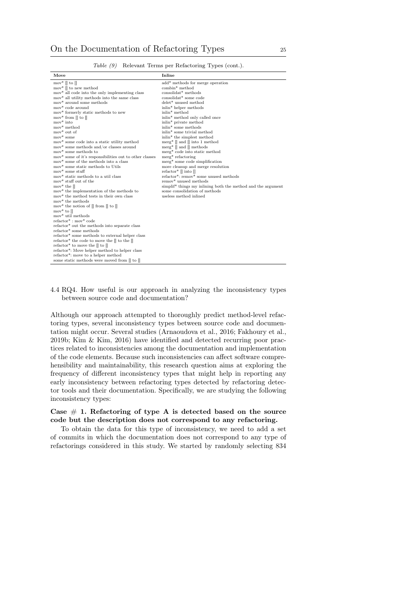<span id="page-24-0"></span>

| Move                                                                       | Inline                                                       |
|----------------------------------------------------------------------------|--------------------------------------------------------------|
| mov <sup>*</sup> $\parallel$ to $\parallel$                                | add* methods for merge operation                             |
| mov <sup>*</sup> $\parallel$ to new method                                 | combin* method                                               |
| mov* all code into the only implementing class                             | $\text{consolidat*}$ methods                                 |
| mov <sup>*</sup> all utility methods into the same class                   | consolidat* some code                                        |
| mov* around some methods                                                   | $\mathrm{delet}^*$ unused method                             |
| mov* code around                                                           | inlin* helper methods                                        |
| mov* formerly static methods to new                                        | inlin <sup>*</sup> method                                    |
| mov* from $\parallel$ to $\parallel$                                       | inlin <sup>*</sup> method only called once                   |
| $mov^*$ into                                                               | inlin* private method                                        |
| mov* method                                                                | inlin <sup>*</sup> some methods                              |
| mov <sup>*</sup> out of                                                    | inlin <sup>*</sup> some trivial method                       |
| $mov^*$ some                                                               | inlin <sup>*</sup> the simplest method                       |
| mov* some code into a static utility method                                | merg <sup>*</sup> $\parallel$ and $\parallel$ into 1 method  |
| mov* some methods and/or classes around                                    | merg <sup>*</sup> $\parallel$ and $\parallel$ methods        |
| mov <sup>*</sup> some methods to                                           | merg* code into static method                                |
| mov* some of it's responsibilities out to other classes                    | $merg*$ refactoring                                          |
| mov <sup>*</sup> some of the methods into a class                          | merg* some code simplification                               |
| mov* some static methods to Utils                                          | more cleanup and merge resolution                            |
| $mov*$ some stuff                                                          | refactor* $\parallel$ into $\parallel$                       |
| mov* static methods to a util class                                        | refactor*: remov* some unused methods                        |
| mov* stuff out of the                                                      | remov* unused methods                                        |
| mov <sup>*</sup> the $\parallel$                                           | simplif* things my inlining both the method and the argument |
| mov <sup>*</sup> the implementation of the methods to                      | some consolidation of methods                                |
| mov <sup>*</sup> the method tests in their own class                       | useless method inlined                                       |
| mov <sup>*</sup> the methods                                               |                                                              |
| mov <sup>*</sup> the notion of $\parallel$ from $\parallel$ to $\parallel$ |                                                              |
| mov <sup>*</sup> to $\parallel$                                            |                                                              |
| mov* util methods                                                          |                                                              |
| $refactor^* : mov^* code$                                                  |                                                              |
| refactor* out the methods into separate class                              |                                                              |
| refactor* some methods                                                     |                                                              |
| refactor* some methods to external helper class                            |                                                              |
| refactor* the code to move the $\parallel$ to the $\parallel$              |                                                              |
| refactor* to move the $\parallel$ to $\parallel$                           |                                                              |
| refactor*: Move helper method to helper class                              |                                                              |
| refactor*: move to a helper method                                         |                                                              |
| some static methods were moved from [] to []                               |                                                              |

Table (9) Relevant Terms per Refactoring Types (cont.).

## 4.4 RQ4. How useful is our approach in analyzing the inconsistency types between source code and documentation?

Although our approach attempted to thoroughly predict method-level refactoring types, several inconsistency types between source code and documentation might occur. Several studies [\(Arnaoudova et al., 2016;](#page-32-4) [Fakhoury et al.,](#page-33-17) [2019b;](#page-33-17) [Kim & Kim, 2016\)](#page-33-18) have identified and detected recurring poor practices related to inconsistencies among the documentation and implementation of the code elements. Because such inconsistencies can affect software comprehensibility and maintainability, this research question aims at exploring the frequency of different inconsistency types that might help in reporting any early inconsistency between refactoring types detected by refactoring detector tools and their documentation. Specifically, we are studying the following inconsistency types:

## Case  $# 1$ . Refactoring of type A is detected based on the source code but the description does not correspond to any refactoring.

To obtain the data for this type of inconsistency, we need to add a set of commits in which the documentation does not correspond to any type of refactorings considered in this study. We started by randomly selecting 834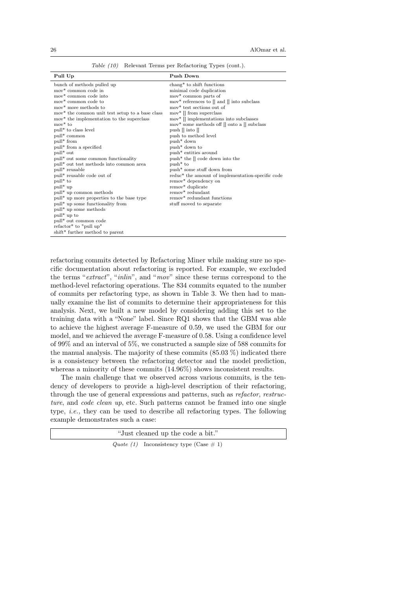|  |  |  |  |  | <i>Table (10)</i> Relevant Terms per Refactoring Types (cont.). |  |  |  |
|--|--|--|--|--|-----------------------------------------------------------------|--|--|--|
|--|--|--|--|--|-----------------------------------------------------------------|--|--|--|

<span id="page-25-0"></span>

| Pull Up                                                     | Push Down                                                     |
|-------------------------------------------------------------|---------------------------------------------------------------|
| bunch of methods pulled up                                  | chang* to shift functions                                     |
| mov* common code in                                         | minimal code duplication                                      |
| mov <sup>*</sup> common code into                           | mov* common parts of                                          |
| mov <sup>*</sup> common code to                             | mov* references to $\parallel$ and $\parallel$ into subclass  |
| mov <sup>*</sup> more methods to                            | mov* test sections out of                                     |
| mov <sup>*</sup> the common unit test setup to a base class | $mov^*$   from superclass                                     |
| mov <sup>*</sup> the implementation to the superclass       | mov <sup>*</sup> [] implementations into subclasses           |
| $mov*$ to                                                   | mov* some methods off $\parallel$ onto a $\parallel$ subclass |
| pull <sup>*</sup> to class level                            | push $\parallel$ into $\parallel$                             |
| pull <sup>*</sup> common                                    | push to method level                                          |
| pull <sup>*</sup> from                                      | $push*$ down                                                  |
| pull* from a specified                                      | push <sup>*</sup> down to                                     |
| pull <sup>*</sup> out                                       | push <sup>*</sup> entities around                             |
| pull <sup>*</sup> out some common functionality             | push* the $\parallel$ code down into the                      |
| pull* out test methods into common area                     | $push*$ to                                                    |
| pull* reusable                                              | push <sup>*</sup> some stuff down from                        |
| pull* reusable code out of                                  | reduc <sup>*</sup> the amount of implementation-specific code |
| pull <sup>*</sup> to                                        | remov* dependency on                                          |
| $pull* up$                                                  | remov <sup>*</sup> duplicate                                  |
| pull <sup>*</sup> up common methods                         | $remov*$ redundant                                            |
| pull* up more properties to the base type                   | remov <sup>*</sup> redundant functions                        |
| pull* up some functionality from                            | stuff moved to separate                                       |
| pull <sup>*</sup> up some methods                           |                                                               |
| pull <sup>*</sup> up to                                     |                                                               |
| pull <sup>*</sup> out common code                           |                                                               |
| refactor <sup>*</sup> to "pull up"                          |                                                               |
| shift* further method to parent                             |                                                               |

refactoring commits detected by Refactoring Miner while making sure no specific documentation about refactoring is reported. For example, we excluded the terms "extract", "inlin", and "mov" since these terms correspond to the method-level refactoring operations. The 834 commits equated to the number of commits per refactoring type, as shown in Table [3.](#page-14-0) We then had to manually examine the list of commits to determine their appropriateness for this analysis. Next, we built a new model by considering adding this set to the training data with a "None" label. Since RQ1 shows that the GBM was able to achieve the highest average F-measure of 0.59, we used the GBM for our model, and we achieved the average F-measure of 0.58. Using a confidence level of 99% and an interval of 5%, we constructed a sample size of 588 commits for the manual analysis. The majority of these commits  $(85.03\%)$  indicated there is a consistency between the refactoring detector and the model prediction, whereas a minority of these commits  $(14.96\%)$  shows inconsistent results.

The main challenge that we observed across various commits, is the tendency of developers to provide a high-level description of their refactoring, through the use of general expressions and patterns, such as refactor, restructure, and code clean up, etc. Such patterns cannot be framed into one single type, i.e., they can be used to describe all refactoring types. The following example demonstrates such a case:

| "Just cleaned up the code a bit."          |  |
|--------------------------------------------|--|
| Quote (1) Inconsistency type (Case $\#$ 1) |  |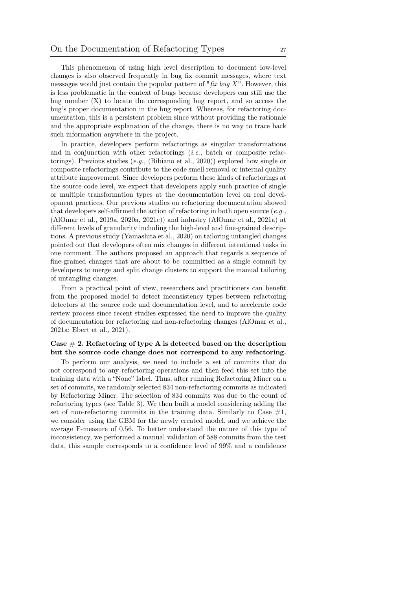This phenomenon of using high level description to document low-level changes is also observed frequently in bug fix commit messages, where text messages would just contain the popular pattern of " $\hbar x$  bug X". However, this is less problematic in the context of bugs because developers can still use the bug number (X) to locate the corresponding bug report, and so access the bug's proper documentation in the bug report. Whereas, for refactoring documentation, this is a persistent problem since without providing the rationale and the appropriate explanation of the change, there is no way to trace back such information anywhere in the project.

In practice, developers perform refactorings as singular transformations and in conjunction with other refactorings (i.e., batch or composite refactorings). Previous studies (e.g., [\(Bibiano et al., 2020\)](#page-32-11)) explored how single or composite refactorings contribute to the code smell removal or internal quality attribute improvement. Since developers perform these kinds of refactorings at the source code level, we expect that developers apply such practice of single or multiple transformation types at the documentation level on real development practices. Our previous studies on refactoring documentation showed that developers self-affirmed the action of refactoring in both open source  $(e.g.,$ [\(AlOmar et al., 2019a,](#page-31-1) [2020a,](#page-31-4) [2021c\)](#page-32-6)) and industry [\(AlOmar et al., 2021a\)](#page-31-2) at different levels of granularity including the high-level and fine-grained descriptions. A previous study [\(Yamashita et al., 2020\)](#page-36-8) on tailoring untangled changes pointed out that developers often mix changes in different intentional tasks in one comment. The authors proposed an approach that regards a sequence of fine-grained changes that are about to be committed as a single commit by developers to merge and split change clusters to support the manual tailoring of untangling changes.

From a practical point of view, researchers and practitioners can benefit from the proposed model to detect inconsistency types between refactoring detectors at the source code and documentation level, and to accelerate code review process since recent studies expressed the need to improve the quality of documentation for refactoring and non-refactoring changes [\(AlOmar et al.,](#page-31-2) [2021a;](#page-31-2) [Ebert et al., 2021\)](#page-33-19).

## Case  $\#$  2. Refactoring of type A is detected based on the description but the source code change does not correspond to any refactoring.

To perform our analysis, we need to include a set of commits that do not correspond to any refactoring operations and then feed this set into the training data with a "None" label. Thus, after running Refactoring Miner on a set of commits, we randomly selected 834 non-refactoring commits as indicated by Refactoring Miner. The selection of 834 commits was due to the count of refactoring types (see Table [3\)](#page-14-0). We then built a model considering adding the set of non-refactoring commits in the training data. Similarly to Case  $#1$ , we consider using the GBM for the newly created model, and we achieve the average F-measure of 0.56. To better understand the nature of this type of inconsistency, we performed a manual validation of 588 commits from the test data, this sample corresponds to a confidence level of 99% and a confidence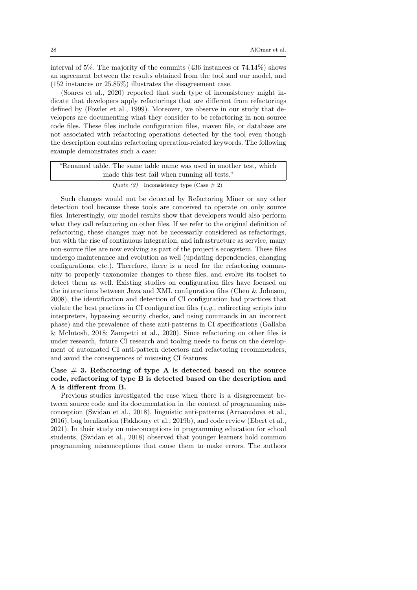interval of 5%. The majority of the commits (436 instances or 74.14%) shows an agreement between the results obtained from the tool and our model, and (152 instances or 25.85%) illustrates the disagreement case.

[\(Soares et al., 2020\)](#page-35-14) reported that such type of inconsistency might indicate that developers apply refactorings that are different from refactorings defined by [\(Fowler et al., 1999\)](#page-33-5). Moreover, we observe in our study that developers are documenting what they consider to be refactoring in non source code files. These files include configuration files, maven file, or database are not associated with refactoring operations detected by the tool even though the description contains refactoring operation-related keywords. The following example demonstrates such a case:

| "Renamed table. The same table name was used in another test, which |
|---------------------------------------------------------------------|
| made this test fail when running all tests."                        |
|                                                                     |

```
Quote (2) Inconsistency type (Case \# 2)
```
Such changes would not be detected by Refactoring Miner or any other detection tool because these tools are conceived to operate on only source files. Interestingly, our model results show that developers would also perform what they call refactoring on other files. If we refer to the original definition of refactoring, these changes may not be necessarily considered as refactorings, but with the rise of continuous integration, and infrastructure as service, many non-source files are now evolving as part of the project's ecosystem. These files undergo maintenance and evolution as well (updating dependencies, changing configurations, etc.). Therefore, there is a need for the refactoring community to properly taxonomize changes to these files, and evolve its toolset to detect them as well. Existing studies on configuration files have focused on the interactions between Java and XML configuration files [\(Chen & Johnson,](#page-32-12) [2008\)](#page-32-12), the identification and detection of CI configuration bad practices that violate the best practices in CI configuration files (e.g., redirecting scripts into interpreters, bypassing security checks, and using commands in an incorrect phase) and the prevalence of these anti-patterns in CI specifications [\(Gallaba](#page-33-20) [& McIntosh, 2018;](#page-33-20) [Zampetti et al., 2020\)](#page-36-9). Since refactoring on other files is under research, future CI research and tooling needs to focus on the development of automated CI anti-pattern detectors and refactoring recommenders, and avoid the consequences of misusing CI features.

## Case  $# 3$ . Refactoring of type A is detected based on the source code, refactoring of type B is detected based on the description and A is different from B.

Previous studies investigated the case when there is a disagreement between source code and its documentation in the context of programming misconception [\(Swidan et al., 2018\)](#page-35-15), linguistic anti-patterns [\(Arnaoudova et al.,](#page-32-4) [2016\)](#page-32-4), bug localization [\(Fakhoury et al., 2019b\)](#page-33-17), and code review [\(Ebert et al.,](#page-33-19) [2021\)](#page-33-19). In their study on misconceptions in programming education for school students, [\(Swidan et al., 2018\)](#page-35-15) observed that younger learners hold common programming misconceptions that cause them to make errors. The authors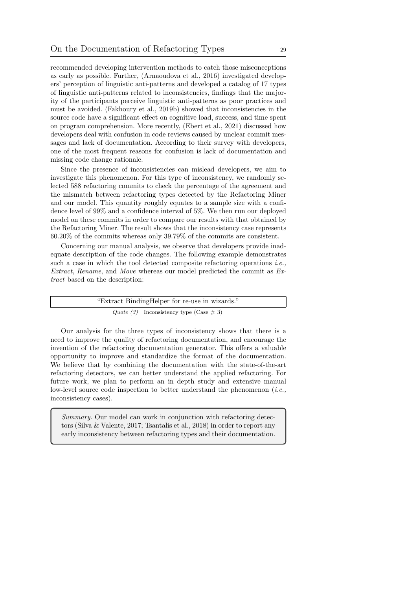recommended developing intervention methods to catch those misconceptions as early as possible. Further, [\(Arnaoudova et al., 2016\)](#page-32-4) investigated developers' perception of linguistic anti-patterns and developed a catalog of 17 types of linguistic anti-patterns related to inconsistencies, findings that the majority of the participants perceive linguistic anti-patterns as poor practices and must be avoided. [\(Fakhoury et al., 2019b\)](#page-33-17) showed that inconsistencies in the source code have a significant effect on cognitive load, success, and time spent on program comprehension. More recently, [\(Ebert et al., 2021\)](#page-33-19) discussed how developers deal with confusion in code reviews caused by unclear commit messages and lack of documentation. According to their survey with developers, one of the most frequent reasons for confusion is lack of documentation and missing code change rationale.

Since the presence of inconsistencies can mislead developers, we aim to investigate this phenomenon. For this type of inconsistency, we randomly selected 588 refactoring commits to check the percentage of the agreement and the mismatch between refactoring types detected by the Refactoring Miner and our model. This quantity roughly equates to a sample size with a confidence level of 99% and a confidence interval of 5%. We then run our deployed model on these commits in order to compare our results with that obtained by the Refactoring Miner. The result shows that the inconsistency case represents 60.20% of the commits whereas only 39.79% of the commits are consistent.

Concerning our manual analysis, we observe that developers provide inadequate description of the code changes. The following example demonstrates such a case in which the tool detected composite refactoring operations *i.e.*, Extract, Rename, and Move whereas our model predicted the commit as Extract based on the description:

| "Extract BindingHelper for re-use in wizards." |
|------------------------------------------------|
| Quote (3) Inconsistency type (Case $\#$ 3)     |

Our analysis for the three types of inconsistency shows that there is a need to improve the quality of refactoring documentation, and encourage the invention of the refactoring documentation generator. This offers a valuable opportunity to improve and standardize the format of the documentation. We believe that by combining the documentation with the state-of-the-art refactoring detectors, we can better understand the applied refactoring. For future work, we plan to perform an in depth study and extensive manual low-level source code inspection to better understand the phenomenon  $(i.e.,$ inconsistency cases).

<span id="page-28-0"></span>Summary. Our model can work in conjunction with refactoring detectors [\(Silva & Valente, 2017;](#page-35-16) [Tsantalis et al., 2018\)](#page-36-5) in order to report any early inconsistency between refactoring types and their documentation.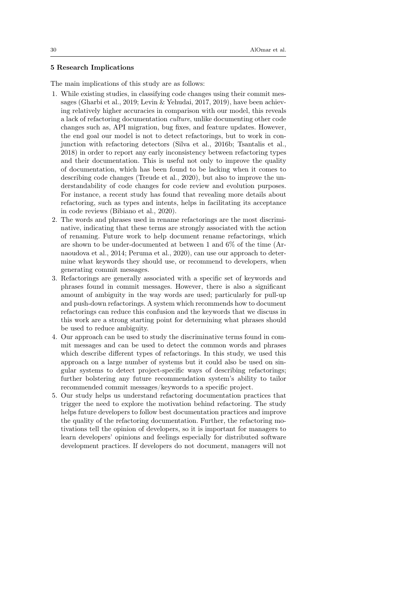### 5 Research Implications

The main implications of this study are as follows:

- 1. While existing studies, in classifying code changes using their commit messages [\(Gharbi et al., 2019;](#page-33-0) [Levin & Yehudai, 2017,](#page-34-3) [2019\)](#page-34-9), have been achieving relatively higher accuracies in comparison with our model, this reveals a lack of refactoring documentation culture, unlike documenting other code changes such as, API migration, bug fixes, and feature updates. However, the end goal our model is not to detect refactorings, but to work in conjunction with refactoring detectors [\(Silva et al., 2016b;](#page-35-17) [Tsantalis et al.,](#page-36-5) [2018\)](#page-36-5) in order to report any early inconsistency between refactoring types and their documentation. This is useful not only to improve the quality of documentation, which has been found to be lacking when it comes to describing code changes [\(Treude et al., 2020\)](#page-36-10), but also to improve the understandability of code changes for code review and evolution purposes. For instance, a recent study has found that revealing more details about refactoring, such as types and intents, helps in facilitating its acceptance in code reviews [\(Bibiano et al., 2020\)](#page-32-11).
- 2. The words and phrases used in rename refactorings are the most discriminative, indicating that these terms are strongly associated with the action of renaming. Future work to help document rename refactorings, which are shown to be under-documented at between 1 and 6% of the time [\(Ar](#page-32-13)[naoudova et al., 2014;](#page-32-13) [Peruma et al., 2020\)](#page-35-18), can use our approach to determine what keywords they should use, or recommend to developers, when generating commit messages.
- 3. Refactorings are generally associated with a specific set of keywords and phrases found in commit messages. However, there is also a significant amount of ambiguity in the way words are used; particularly for pull-up and push-down refactorings. A system which recommends how to document refactorings can reduce this confusion and the keywords that we discuss in this work are a strong starting point for determining what phrases should be used to reduce ambiguity.
- 4. Our approach can be used to study the discriminative terms found in commit messages and can be used to detect the common words and phrases which describe different types of refactorings. In this study, we used this approach on a large number of systems but it could also be used on singular systems to detect project-specific ways of describing refactorings; further bolstering any future recommendation system's ability to tailor recommended commit messages/keywords to a specific project.
- 5. Our study helps us understand refactoring documentation practices that trigger the need to explore the motivation behind refactoring. The study helps future developers to follow best documentation practices and improve the quality of the refactoring documentation. Further, the refactoring motivations tell the opinion of developers, so it is important for managers to learn developers' opinions and feelings especially for distributed software development practices. If developers do not document, managers will not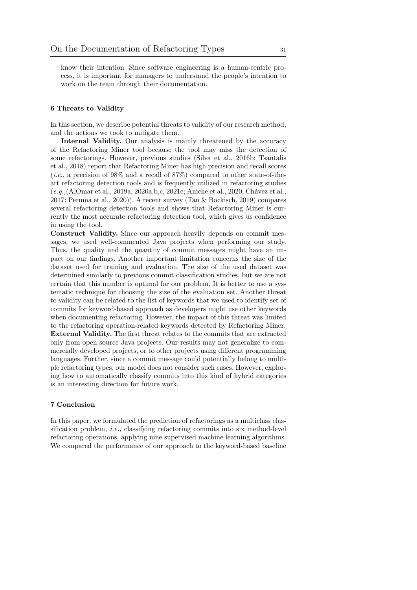know their intention. Since software engineering is a human-centric process, it is important for managers to understand the people's intention to work on the team through their documentation.

### <span id="page-30-0"></span>6 Threats to Validity

In this section, we describe potential threats to validity of our research method, and the actions we took to mitigate them.

Internal Validity. Our analysis is mainly threatened by the accuracy of the Refactoring Miner tool because the tool may miss the detection of some refactorings. However, previous studies [\(Silva et al., 2016b;](#page-35-17) [Tsantalis](#page-36-5) [et al., 2018\)](#page-36-5) report that Refactoring Miner has high precision and recall scores (*i.e.*, a precision of 98% and a recall of 87%) compared to other state-of-theart refactoring detection tools and is frequently utilized in refactoring studies (e.g.,[\(AlOmar et al., 2019a,](#page-31-1) [2020a,](#page-31-4)[b,](#page-32-14)[c,](#page-32-15) [2021e;](#page-32-16) [Aniche et al., 2020;](#page-32-7) [Chávez et al.,](#page-32-17) [2017;](#page-32-17) [Peruma et al., 2020\)](#page-35-18)). A recent survey [\(Tan & Bockisch, 2019\)](#page-36-11) compares several refactoring detection tools and shows that Refactoring Miner is currently the most accurate refactoring detection tool, which gives us confidence in using the tool.

Construct Validity. Since our approach heavily depends on commit messages, we used well-commented Java projects when performing our study. Thus, the quality and the quantity of commit messages might have an impact on our findings. Another important limitation concerns the size of the dataset used for training and evaluation. The size of the used dataset was determined similarly to previous commit classification studies, but we are not certain that this number is optimal for our problem. It is better to use a systematic technique for choosing the size of the evaluation set. Another threat to validity can be related to the list of keywords that we used to identify set of commits for keyword-based approach as developers might use other keywords when documenting refactoring. However, the impact of this threat was limited to the refactoring operation-related keywords detected by Refactoring Miner. External Validity. The first threat relates to the commits that are extracted only from open source Java projects. Our results may not generalize to commercially developed projects, or to other projects using different programming languages. Further, since a commit message could potentially belong to multiple refactoring types, our model does not consider such cases. However, exploring how to automatically classify commits into this kind of hybrid categories is an interesting direction for future work.

### <span id="page-30-1"></span>7 Conclusion

In this paper, we formulated the prediction of refactorings as a multiclass classification problem, i.e., classifying refactoring commits into six method-level refactoring operations, applying nine supervised machine learning algorithms. We compared the performance of our approach to the keyword-based baseline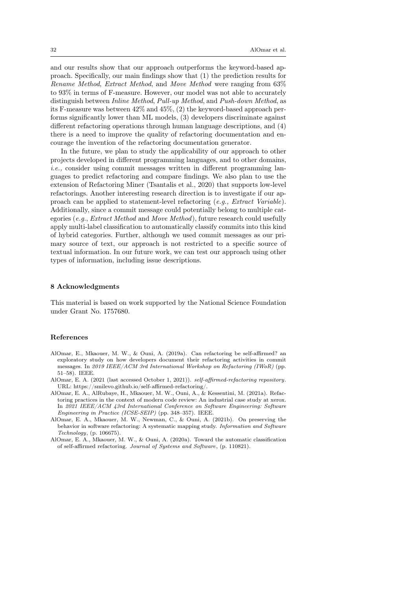and our results show that our approach outperforms the keyword-based approach. Specifically, our main findings show that (1) the prediction results for Rename Method, Extract Method, and Move Method were ranging from 63% to 93% in terms of F-measure. However, our model was not able to accurately distinguish between Inline Method, Pull-up Method, and Push-down Method, as its F-measure was between 42% and 45%, (2) the keyword-based approach performs significantly lower than ML models, (3) developers discriminate against different refactoring operations through human language descriptions, and (4) there is a need to improve the quality of refactoring documentation and encourage the invention of the refactoring documentation generator.

In the future, we plan to study the applicability of our approach to other projects developed in different programming languages, and to other domains, i.e., consider using commit messages written in different programming languages to predict refactoring and compare findings. We also plan to use the extension of Refactoring Miner [\(Tsantalis et al., 2020\)](#page-36-12) that supports low-level refactorings. Another interesting research direction is to investigate if our approach can be applied to statement-level refactoring  $(e.g., Extract\ Variable).$ Additionally, since a commit message could potentially belong to multiple categories (e.g., Extract Method and Move Method), future research could usefully apply multi-label classification to automatically classify commits into this kind of hybrid categories. Further, although we used commit messages as our primary source of text, our approach is not restricted to a specific source of textual information. In our future work, we can test our approach using other types of information, including issue descriptions.

### 8 Acknowledgments

This material is based on work supported by the National Science Foundation under Grant No. 1757680.

### References

- <span id="page-31-1"></span>AlOmar, E., Mkaouer, M. W., & Ouni, A. (2019a). Can refactoring be self-affirmed? an exploratory study on how developers document their refactoring activities in commit messages. In 2019 IEEE/ACM 3rd International Workshop on Refactoring (IWoR) (pp. 51–58). IEEE.
- <span id="page-31-3"></span>AlOmar, E. A. (2021 (last accessed October 1, 2021)). self-affirmed-refactoring repository. URL: [https://smilevo.github.io/self-affirmed-refactoring/.](https://smilevo.github.io/self-affirmed-refactoring/)
- <span id="page-31-2"></span>AlOmar, E. A., AlRubaye, H., Mkaouer, M. W., Ouni, A., & Kessentini, M. (2021a). Refactoring practices in the context of modern code review: An industrial case study at xerox. In 2021 IEEE/ACM 43rd International Conference on Software Engineering: Software Engineering in Practice (ICSE-SEIP) (pp. 348–357). IEEE.
- <span id="page-31-0"></span>AlOmar, E. A., Mkaouer, M. W., Newman, C., & Ouni, A. (2021b). On preserving the behavior in software refactoring: A systematic mapping study. Information and Software Technology, (p. 106675).
- <span id="page-31-4"></span>AlOmar, E. A., Mkaouer, M. W., & Ouni, A. (2020a). Toward the automatic classification of self-affirmed refactoring. Journal of Systems and Software, (p. 110821).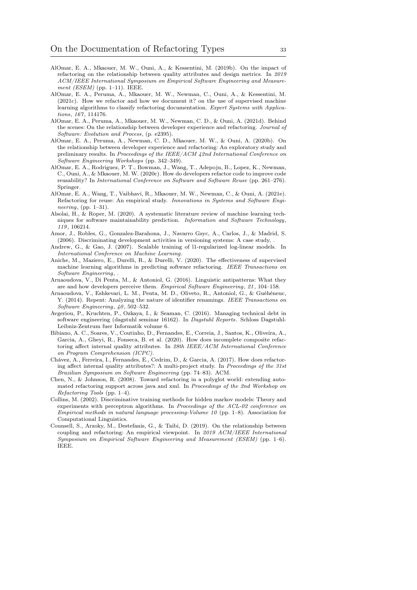- <span id="page-32-3"></span>AlOmar, E. A., Mkaouer, M. W., Ouni, A., & Kessentini, M. (2019b). On the impact of refactoring on the relationship between quality attributes and design metrics. In 2019 ACM/IEEE International Symposium on Empirical Software Engineering and Measurement (ESEM) (pp. 1–11). IEEE.
- <span id="page-32-6"></span>AlOmar, E. A., Peruma, A., Mkaouer, M. W., Newman, C., Ouni, A., & Kessentini, M. (2021c). How we refactor and how we document it? on the use of supervised machine learning algorithms to classify refactoring documentation. Expert Systems with Applications, 167, 114176.
- <span id="page-32-8"></span>AlOmar, E. A., Peruma, A., Mkaouer, M. W., Newman, C. D., & Ouni, A. (2021d). Behind the scenes: On the relationship between developer experience and refactoring. Journal of Software: Evolution and Process, (p. e2395).
- <span id="page-32-14"></span>AlOmar, E. A., Peruma, A., Newman, C. D., Mkaouer, M. W., & Ouni, A. (2020b). On the relationship between developer experience and refactoring: An exploratory study and preliminary results. In Proceedings of the IEEE/ACM 42nd International Conference on Software Engineering Workshops (pp. 342–349).
- <span id="page-32-15"></span>AlOmar, E. A., Rodriguez, P. T., Bowman, J., Wang, T., Adepoju, B., Lopez, K., Newman, C., Ouni, A., & Mkaouer, M. W. (2020c). How do developers refactor code to improve code reusability? In International Conference on Software and Software Reuse (pp. 261–276). Springer.
- <span id="page-32-16"></span>AlOmar, E. A., Wang, T., Vaibhavi, R., Mkaouer, M. W., Newman, C., & Ouni, A. (2021e). Refactoring for reuse: An empirical study. Innovations in Systems and Software Engineering, (pp. 1–31).
- <span id="page-32-0"></span>Alsolai, H., & Roper, M. (2020). A systematic literature review of machine learning techniques for software maintainability prediction. Information and Software Technology, 119, 106214.
- <span id="page-32-5"></span>Amor, J., Robles, G., Gonzalez-Barahona, J., Navarro Gsyc, A., Carlos, J., & Madrid, S. (2006). Discriminating development activities in versioning systems: A case study, .
- <span id="page-32-10"></span>Andrew, G., & Gao, J. (2007). Scalable training of l1-regularized log-linear models. In International Conference on Machine Learning.
- <span id="page-32-7"></span>Aniche, M., Maziero, E., Durelli, R., & Durelli, V. (2020). The effectiveness of supervised machine learning algorithms in predicting software refactoring. IEEE Transactions on Software Engineering, .
- <span id="page-32-4"></span>Arnaoudova, V., Di Penta, M., & Antoniol, G. (2016). Linguistic antipatterns: What they are and how developers perceive them. Empirical Software Engineering, 21, 104–158.
- <span id="page-32-13"></span>Arnaoudova, V., Eshkevari, L. M., Penta, M. D., Oliveto, R., Antoniol, G., & Guéhéneuc, Y. (2014). Repent: Analyzing the nature of identifier renamings. IEEE Transactions on Software Engineering, 40, 502–532.
- <span id="page-32-1"></span>Avgeriou, P., Kruchten, P., Ozkaya, I., & Seaman, C. (2016). Managing technical debt in software engineering (dagstuhl seminar 16162). In Dagstuhl Reports. Schloss Dagstuhl-Leibniz-Zentrum fuer Informatik volume 6.
- <span id="page-32-11"></span>Bibiano, A. C., Soares, V., Coutinho, D., Fernandes, E., Correia, J., Santos, K., Oliveira, A., Garcia, A., Gheyi, R., Fonseca, B. et al. (2020). How does incomplete composite refactoring affect internal quality attributes. In 28th IEEE/ACM International Conference on Program Comprehension (ICPC).
- <span id="page-32-17"></span>Chávez, A., Ferreira, I., Fernandes, E., Cedrim, D., & Garcia, A. (2017). How does refactoring affect internal quality attributes?: A multi-project study. In Proceedings of the 31st Brazilian Symposium on Software Engineering (pp. 74–83). ACM.
- <span id="page-32-12"></span>Chen, N., & Johnson, R. (2008). Toward refactoring in a polyglot world: extending automated refactoring support across java and xml. In Proceedings of the 2nd Workshop on Refactoring Tools (pp. 1–4).
- <span id="page-32-9"></span>Collins, M. (2002). Discriminative training methods for hidden markov models: Theory and experiments with perceptron algorithms. In Proceedings of the ACL-02 conference on Empirical methods in natural language processing-Volume 10 (pp.  $1-8$ ). Association for Computational Linguistics.
- <span id="page-32-2"></span>Counsell, S., Arzoky, M., Destefanis, G., & Taibi, D. (2019). On the relationship between coupling and refactoring: An empirical viewpoint. In 2019 ACM/IEEE International Symposium on Empirical Software Engineering and Measurement (ESEM) (pp. 1–6). IEEE.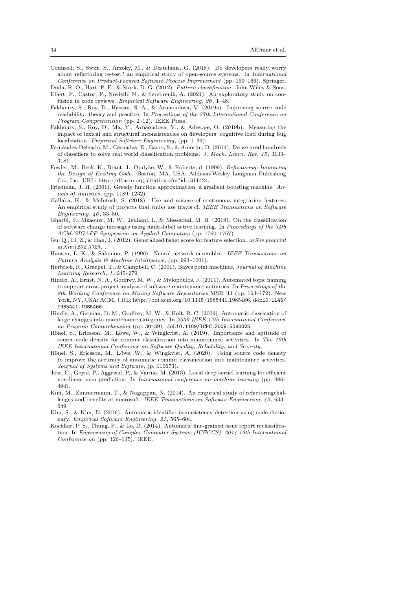- <span id="page-33-2"></span>Counsell, S., Swift, S., Arzoky, M., & Destefanis, G. (2018). Do developers really worry about refactoring re-test? an empirical study of open-source systems. In International Conference on Product-Focused Software Process Improvement (pp. 159–166). Springer.
- <span id="page-33-19"></span><span id="page-33-14"></span>Duda, R. O., Hart, P. E., & Stork, D. G. (2012). Pattern classification. John Wiley & Sons. Ebert, F., Castor, F., Novielli, N., & Serebrenik, A. (2021). An exploratory study on confusion in code reviews. Empirical Software Engineering, 26, 1–48.
- <span id="page-33-3"></span>Fakhoury, S., Roy, D., Hassan, S. A., & Arnaoudova, V. (2019a). Improving source code readability: theory and practice. In *Proceedings of the 27th International Conference on* Program Comprehension (pp. 2–12). IEEE Press.
- <span id="page-33-17"></span>Fakhoury, S., Roy, D., Ma, Y., Arnaoudova, V., & Adesope, O. (2019b). Measuring the impact of lexical and structural inconsistencies on developers' cognitive load during bug localization. Empirical Software Engineering, (pp. 1–39).
- <span id="page-33-16"></span>Fernández-Delgado, M., Cernadas, E., Barro, S., & Amorim, D. (2014). Do we need hundreds of classifiers to solve real world classification problems. J. Mach. Learn. Res, 15, 3133– 3181.
- <span id="page-33-5"></span>Fowler, M., Beck, K., Brant, J., Opdyke, W., & Roberts, d. (1999). Refactoring: Improving the Design of Existing Code. Boston, MA, USA: Addison-Wesley Longman Publishing Co., Inc. URL: [http://dl.acm.org/citation.cfm?id=311424.](http://dl.acm.org/citation.cfm?id=311424)
- <span id="page-33-9"></span>Friedman, J. H. (2001). Greedy function approximation: a gradient boosting machine. Annals of statistics, (pp. 1189–1232).
- <span id="page-33-20"></span>Gallaba, K., & McIntosh, S. (2018). Use and misuse of continuous integration features: An empirical study of projects that (mis) use travis ci. IEEE Transactions on Software Engineering, 46, 33–50.
- <span id="page-33-0"></span>Gharbi, S., Mkaouer, M. W., Jenhani, I., & Messaoud, M. B. (2019). On the classification of software change messages using multi-label active learning. In Proceedings of the 34th ACM/SIGAPP Symposium on Applied Computing (pp. 1760–1767).
- <span id="page-33-15"></span>Gu, Q., Li, Z., & Han, J. (2012). Generalized fisher score for feature selection. arXiv preprint  $arX$ *iv:* 1202.3725
- <span id="page-33-12"></span>Hansen, L. K., & Salamon, P. (1990). Neural network ensembles. IEEE Transactions on Pattern Analysis & Machine Intelligence, (pp. 993–1001).
- <span id="page-33-11"></span>Herbrich, R., Graepel, T., & Campbell, C. (2001). Bayes point machines. Journal of Machine Learning Research, 1, 245–279.
- <span id="page-33-7"></span>Hindle, A., Ernst, N. A., Godfrey, M. W., & Mylopoulos, J. (2011). Automated topic naming to support cross-project analysis of software maintenance activities. In Proceedings of the 8th Working Conference on Mining Software Repositories MSR '11 (pp. 163–172). New York, NY, USA: ACM. URL: [http://doi.acm.org/10.1145/1985441.1985466.](http://doi.acm.org/10.1145/1985441.1985466) doi:[10.1145/](http://dx.doi.org/10.1145/1985441.1985466) [1985441.1985466](http://dx.doi.org/10.1145/1985441.1985466).
- <span id="page-33-6"></span>Hindle, A., German, D. M., Godfrey, M. W., & Holt, R. C. (2009). Automatic classication of large changes into maintenance categories. In 2009 IEEE 17th International Conference on Program Comprehension (pp. 30–39). doi:[10.1109/ICPC.2009.5090025](http://dx.doi.org/10.1109/ICPC.2009.5090025).
- <span id="page-33-8"></span>Hönel, S., Ericsson, M., Löwe, W., & Wingkvist, A. (2019). Importance and aptitude of source code density for commit classification into maintenance activities. In The 19th IEEE International Conference on Software Quality, Reliability, and Security.
- <span id="page-33-1"></span>Hönel, S., Ericsson, M., Löwe, W., & Wingkvist, A. (2020). Using source code density to improve the accuracy of automatic commit classification into maintenance activities. Journal of Systems and Software, (p. 110673).
- <span id="page-33-10"></span>Jose, C., Goyal, P., Aggrwal, P., & Varma, M. (2013). Local deep kernel learning for efficient non-linear svm prediction. In International conference on machine learning (pp. 486– 494).
- <span id="page-33-4"></span>Kim, M., Zimmermann, T., & Nagappan, N. (2014). An empirical study of refactoringchallenges and benefits at microsoft. IEEE Transactions on Software Engineering, 40, 633– 649.
- <span id="page-33-18"></span>Kim, S., & Kim, D. (2016). Automatic identifier inconsistency detection using code dictionary. Empirical Software Engineering, 21, 565–604.
- <span id="page-33-13"></span>Kochhar, P. S., Thung, F., & Lo, D. (2014). Automatic fine-grained issue report reclassification. In Engineering of Complex Computer Systems (ICECCS), 2014 19th International Conference on (pp. 126–135). IEEE.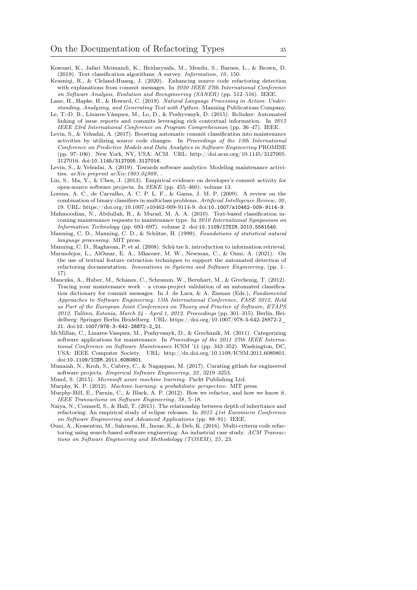- <span id="page-34-10"></span>Kowsari, K., Jafari Meimandi, K., Heidarysafa, M., Mendu, S., Barnes, L., & Brown, D. (2019). Text classification algorithms: A survey. Information, 10, 150.
- <span id="page-34-4"></span>Krasniqi, R., & Cleland-Huang, J. (2020). Enhancing source code refactoring detection with explanations from commit messages. In 2020 IEEE 27th International Conference on Software Analysis, Evolution and Reengineering (SANER) (pp. 512–516). IEEE.
- <span id="page-34-12"></span>Lane, H., Hapke, H., & Howard, C. (2019). Natural Language Processing in Action: Understanding, Analyzing, and Generating Text with Python. Manning Publications Company.
- <span id="page-34-14"></span>Le, T.-D. B., Linares-Vásquez, M., Lo, D., & Poshyvanyk, D. (2015). Rclinker: Automated linking of issue reports and commits leveraging rich contextual information. In 2015 IEEE 23rd International Conference on Program Comprehension (pp. 36–47). IEEE.
- <span id="page-34-3"></span>Levin, S., & Yehudai, A. (2017). Boosting automatic commit classification into maintenance activities by utilizing source code changes. In Proceedings of the 13th International Conference on Predictive Models and Data Analytics in Software Engineering PROMISE (pp. 97–106). New York, NY, USA: ACM. URL: [http://doi.acm.org/10.1145/3127005.](http://doi.acm.org/10.1145/3127005.3127016) [3127016.](http://doi.acm.org/10.1145/3127005.3127016) doi:[10.1145/3127005.3127016](http://dx.doi.org/10.1145/3127005.3127016).
- <span id="page-34-9"></span>Levin, S., & Yehudai, A. (2019). Towards software analytics: Modeling maintenance activities.  $arXiv$  preprint  $arXiv:1903.04909$ ,
- <span id="page-34-15"></span>Lin, S., Ma, Y., & Chen, J. (2013). Empirical evidence on developer's commit activity for open-source software projects. In SEKE (pp. 455–460). volume 13.
- <span id="page-34-18"></span>Lorena, A. C., de Carvalho, A. C. P. L. F., & Gama, J. M. P. (2009). A review on the combination of binary classifiers in multiclass problems. Artificial Intelligence Review, 30, 19. URL: [https://doi.org/10.1007/s10462-009-9114-9.](https://doi.org/10.1007/s10462-009-9114-9) doi:[10.1007/s10462-009-9114-9](http://dx.doi.org/10.1007/s10462-009-9114-9).
- <span id="page-34-6"></span>Mahmoodian, N., Abdullah, R., & Murad, M. A. A. (2010). Text-based classification incoming maintenance requests to maintenance type. In 2010 International Symposium on
- <span id="page-34-2"></span>Information Technology (pp. 693–697). volume 2. doi:[10.1109/ITSIM.2010.5561540](http://dx.doi.org/10.1109/ITSIM.2010.5561540). Manning, C. D., Manning, C. D., & Schütze, H. (1999). Foundations of statistical natural language processing. MIT press.
- <span id="page-34-13"></span><span id="page-34-5"></span>Manning, C. D., Raghavan, P. et al. (2008). Schü tze h. introduction to information retrieval. Marmolejos, L., AlOmar, E. A., Mkaouer, M. W., Newman, C., & Ouni, A. (2021). On
- the use of textual feature extraction techniques to support the automated detection of refactoring documentation. Innovations in Systems and Software Engineering, (pp. 1– 17).
- <span id="page-34-19"></span>Mauczka, A., Huber, M., Schanes, C., Schramm, W., Bernhart, M., & Grechenig, T. (2012). Tracing your maintenance work – a cross-project validation of an automated classification dictionary for commit messages. In J. de Lara, & A. Zisman (Eds.), Fundamental Approaches to Software Engineering: 15th International Conference, FASE 2012, Held as Part of the European Joint Conferences on Theory and Practice of Software, ETAPS 2012, Tallinn, Estonia, March 24 - April 1, 2012. Proceedings (pp. 301–315). Berlin, Heidelberg: Springer Berlin Heidelberg. URL: [https://doi.org/10.1007/978-3-642-28872-2\\_](https://doi.org/10.1007/978-3-642-28872-2_21) [21.](https://doi.org/10.1007/978-3-642-28872-2_21) doi:[10.1007/978-3-642-28872-2\\_21](http://dx.doi.org/10.1007/978-3-642-28872-2_21).
- <span id="page-34-7"></span>McMillan, C., Linares-Vasquez, M., Poshyvanyk, D., & Grechanik, M. (2011). Categorizing software applications for maintenance. In Proceedings of the 2011 27th IEEE International Conference on Software Maintenance ICSM '11 (pp. 343–352). Washington, DC, USA: IEEE Computer Society. URL: [http://dx.doi.org/10.1109/ICSM.2011.6080801.](http://dx.doi.org/10.1109/ICSM.2011.6080801) doi:[10.1109/ICSM.2011.6080801](http://dx.doi.org/10.1109/ICSM.2011.6080801).
- <span id="page-34-11"></span>Munaiah, N., Kroh, S., Cabrey, C., & Nagappan, M. (2017). Curating github for engineered software projects. Empirical Software Engineering, 22, 3219–3253.
- <span id="page-34-17"></span>Mund, S. (2015). Microsoft azure machine learning. Packt Publishing Ltd.
- <span id="page-34-8"></span>Murphy, K. P. (2012). Machine learning: a probabilistic perspective. MIT press.
- <span id="page-34-1"></span>Murphy-Hill, E., Parnin, C., & Black, A. P. (2012). How we refactor, and how we know it. IEEE Transactions on Software Engineering, 38, 5–18.
- <span id="page-34-0"></span>Naiya, N., Counsell, S., & Hall, T. (2015). The relationship between depth of inheritance and refactoring: An empirical study of eclipse releases. In 2015 41st Euromicro Conference on Software Engineering and Advanced Applications (pp. 88–91). IEEE.
- <span id="page-34-16"></span>Ouni, A., Kessentini, M., Sahraoui, H., Inoue, K., & Deb, K. (2016). Multi-criteria code refactoring using search-based software engineering: An industrial case study. ACM Transactions on Software Engineering and Methodology (TOSEM), 25, 23.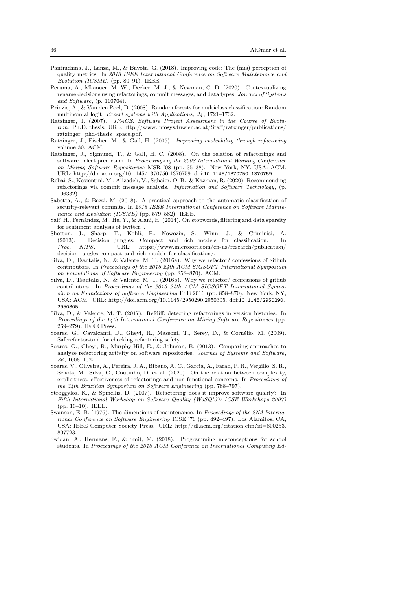- <span id="page-35-1"></span>Pantiuchina, J., Lanza, M., & Bavota, G. (2018). Improving code: The (mis) perception of quality metrics. In 2018 IEEE International Conference on Software Maintenance and Evolution (ICSME) (pp. 80–91). IEEE.
- <span id="page-35-18"></span>Peruma, A., Mkaouer, M. W., Decker, M. J., & Newman, C. D. (2020). Contextualizing rename decisions using refactorings, commit messages, and data types. Journal of Systems and Software, (p. 110704).
- <span id="page-35-10"></span>Prinzie, A., & Van den Poel, D. (2008). Random forests for multiclass classification: Random multinomial logit. Expert systems with Applications, 34, 1721–1732.
- <span id="page-35-4"></span>Ratzinger, J. (2007). sPACE: Software Project Assessment in the Course of Evolution. Ph.D. thesis. URL: [http://www.infosys.tuwien.ac.at/Staff/ratzinger/publications/](http://www.infosys.tuwien.ac.at/Staff/ratzinger/publications/ratzinger_phd-thesis_space.pdf) [ratzinger\\_phd-thesis\\_space.pdf.](http://www.infosys.tuwien.ac.at/Staff/ratzinger/publications/ratzinger_phd-thesis_space.pdf)
- <span id="page-35-9"></span>Ratzinger, J., Fischer,  $\overline{M}$ ., & Gall, H. (2005). *Improving evolvability through refactoring* volume 30. ACM.
- <span id="page-35-5"></span>Ratzinger, J., Sigmund, T., & Gall, H. C. (2008). On the relation of refactorings and software defect prediction. In Proceedings of the 2008 International Working Conference on Mining Software Repositories MSR '08 (pp. 35–38). New York, NY, USA: ACM. URL: [http://doi.acm.org/10.1145/1370750.1370759.](http://doi.acm.org/10.1145/1370750.1370759) doi:[10.1145/1370750.1370759](http://dx.doi.org/10.1145/1370750.1370759).
- <span id="page-35-2"></span>Rebai, S., Kessentini, M., Alizadeh, V., Sghaier, O. B., & Kazman, R. (2020). Recommending refactorings via commit message analysis. Information and Software Technology, (p. 106332).
- <span id="page-35-0"></span>Sabetta, A., & Bezzi, M. (2018). A practical approach to the automatic classification of security-relevant commits. In 2018 IEEE International Conference on Software Maintenance and Evolution (ICSME) (pp. 579–582). IEEE.
- <span id="page-35-13"></span>Saif, H., Fernández, M., He, Y., & Alani, H. (2014). On stopwords, filtering and data sparsity for sentiment analysis of twitter, .
- <span id="page-35-11"></span>Shotton, J., Sharp, T., Kohli, P., Nowozin, S., Winn, J., & Criminisi, (2013). Decision jungles: Compact and rich models for classification. In Proc. NIPS. URL: [https://www.microsoft.com/en-us/research/publication/](https://www.microsoft.com/en-us/research/publication/decision-jungles-compact-and-rich-models-for-classification/) [decision-jungles-compact-and-rich-models-for-classification/.](https://www.microsoft.com/en-us/research/publication/decision-jungles-compact-and-rich-models-for-classification/)
- <span id="page-35-12"></span>Silva, D., Tsantalis, N., & Valente, M. T. (2016a). Why we refactor? confessions of github contributors. In Proceedings of the 2016 24th ACM SIGSOFT International Symposium on Foundations of Software Engineering (pp. 858–870). ACM.
- <span id="page-35-17"></span>Silva, D., Tsantalis, N., & Valente, M. T. (2016b). Why we refactor? confessions of github contributors. In Proceedings of the 2016 24th ACM SIGSOFT International Symposium on Foundations of Software Engineering FSE 2016 (pp. 858–870). New York, NY, USA: ACM. URL: [http://doi.acm.org/10.1145/2950290.2950305.](http://doi.acm.org/10.1145/2950290.2950305) doi:[10.1145/2950290.](http://dx.doi.org/10.1145/2950290.2950305) [2950305](http://dx.doi.org/10.1145/2950290.2950305).
- <span id="page-35-16"></span>Silva, D., & Valente, M. T. (2017). Refdiff: detecting refactorings in version histories. In Proceedings of the 14th International Conference on Mining Software Repositories (pp. 269–279). IEEE Press.
- <span id="page-35-7"></span>Soares, G., Cavalcanti, D., Gheyi, R., Massoni, T., Serey, D., & Cornélio, M. (2009). Saferefactor-tool for checking refactoring safety, .
- <span id="page-35-3"></span>Soares, G., Gheyi, R., Murphy-Hill, E., & Johnson, B. (2013). Comparing approaches to analyze refactoring activity on software repositories. Journal of Systems and Software, 86, 1006–1022.
- <span id="page-35-14"></span>Soares, V., Oliveira, A., Pereira, J. A., Bibano, A. C., Garcia, A., Farah, P. R., Vergilio, S. R., Schots, M., Silva, C., Coutinho, D. et al. (2020). On the relation between complexity, explicitness, effectiveness of refactorings and non-functional concerns. In Proceedings of the 34th Brazilian Symposium on Software Engineering (pp. 788–797).
- <span id="page-35-6"></span>Stroggylos, K., & Spinellis, D. (2007). Refactoring–does it improve software quality? In Fifth International Workshop on Software Quality (WoSQ'07: ICSE Workshops 2007) (pp. 10–10). IEEE.
- <span id="page-35-8"></span>Swanson, E. B. (1976). The dimensions of maintenance. In Proceedings of the 2Nd International Conference on Software Engineering ICSE '76 (pp. 492–497). Los Alamitos, CA, USA: IEEE Computer Society Press. URL: [http://dl.acm.org/citation.cfm?id=800253.](http://dl.acm.org/citation.cfm?id=800253.807723) [807723.](http://dl.acm.org/citation.cfm?id=800253.807723)
- <span id="page-35-15"></span>Swidan, A., Hermans, F., & Smit, M. (2018). Programming misconceptions for school students. In Proceedings of the 2018 ACM Conference on International Computing Ed-